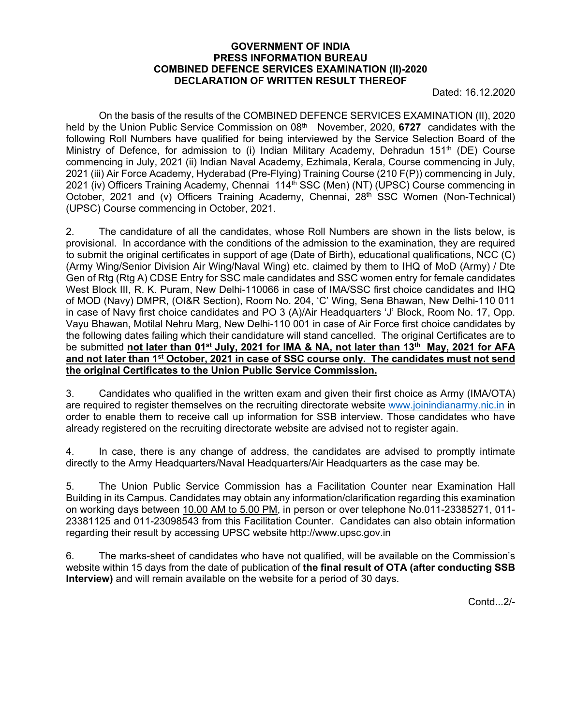#### **GOVERNMENT OF INDIA PRESS INFORMATION BUREAU COMBINED DEFENCE SERVICES EXAMINATION (II)-2020 DECLARATION OF WRITTEN RESULT THEREOF**

Dated: 16.12.2020

 On the basis of the results of the COMBINED DEFENCE SERVICES EXAMINATION (II), 2020 held by the Union Public Service Commission on 08<sup>th</sup> November, 2020, 6727 candidates with the following Roll Numbers have qualified for being interviewed by the Service Selection Board of the Ministry of Defence, for admission to (i) Indian Military Academy, Dehradun 151<sup>th</sup> (DE) Course commencing in July, 2021 (ii) Indian Naval Academy, Ezhimala, Kerala, Course commencing in July, 2021 (iii) Air Force Academy, Hyderabad (Pre-Flying) Training Course (210 F(P)) commencing in July, 2021 (iv) Officers Training Academy, Chennai 114<sup>th</sup> SSC (Men) (NT) (UPSC) Course commencing in October, 2021 and (v) Officers Training Academy, Chennai, 28<sup>th</sup> SSC Women (Non-Technical) (UPSC) Course commencing in October, 2021.

2. The candidature of all the candidates, whose Roll Numbers are shown in the lists below, is provisional. In accordance with the conditions of the admission to the examination, they are required to submit the original certificates in support of age (Date of Birth), educational qualifications, NCC (C) (Army Wing/Senior Division Air Wing/Naval Wing) etc. claimed by them to IHQ of MoD (Army) / Dte Gen of Rtg (Rtg A) CDSE Entry for SSC male candidates and SSC women entry for female candidates West Block III, R. K. Puram, New Delhi-110066 in case of IMA/SSC first choice candidates and IHQ of MOD (Navy) DMPR, (OI&R Section), Room No. 204, 'C' Wing, Sena Bhawan, New Delhi-110 011 in case of Navy first choice candidates and PO 3 (A)/Air Headquarters 'J' Block, Room No. 17, Opp. Vayu Bhawan, Motilal Nehru Marg, New Delhi-110 001 in case of Air Force first choice candidates by the following dates failing which their candidature will stand cancelled. The original Certificates are to be submitted not later than 01<sup>st</sup> July, 2021 for IMA & NA, not later than 13<sup>th</sup> May, 2021 for AFA **and not later than 1st October, 2021 in case of SSC course only. The candidates must not send the original Certificates to the Union Public Service Commission.** 

3. Candidates who qualified in the written exam and given their first choice as Army (IMA/OTA) are required to register themselves on the recruiting directorate website www.joinindianarmy.nic.in in order to enable them to receive call up information for SSB interview. Those candidates who have already registered on the recruiting directorate website are advised not to register again.

4. In case, there is any change of address, the candidates are advised to promptly intimate directly to the Army Headquarters/Naval Headquarters/Air Headquarters as the case may be.

5. The Union Public Service Commission has a Facilitation Counter near Examination Hall Building in its Campus. Candidates may obtain any information/clarification regarding this examination on working days between 10.00 AM to 5.00 PM, in person or over telephone No.011-23385271, 011- 23381125 and 011-23098543 from this Facilitation Counter. Candidates can also obtain information regarding their result by accessing UPSC website http://www.upsc.gov.in

6. The marks-sheet of candidates who have not qualified, will be available on the Commission's website within 15 days from the date of publication of **the final result of OTA (after conducting SSB Interview)** and will remain available on the website for a period of 30 days.

Contd...2/-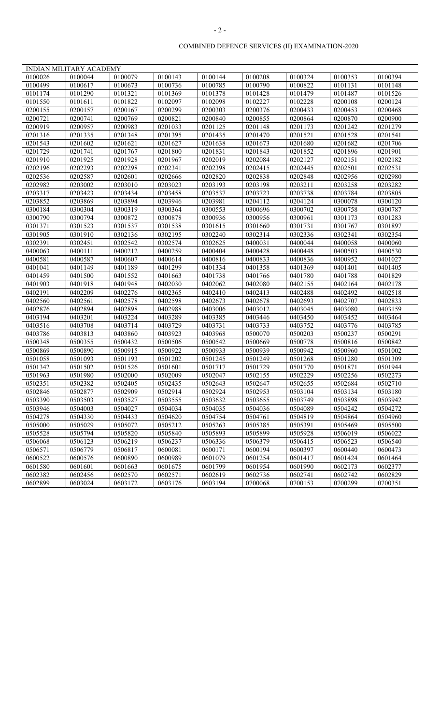|         | INDIAN MILITARY ACADEMY |         |         |         |         |         |         |         |
|---------|-------------------------|---------|---------|---------|---------|---------|---------|---------|
| 0100026 | 0100044                 | 0100079 | 0100143 | 0100144 | 0100208 | 0100324 | 0100353 | 0100394 |
| 0100499 | 0100617                 | 0100673 | 0100736 | 0100785 | 0100790 | 0100822 | 0101131 | 0101148 |
| 0101174 | 0101290                 | 0101321 | 0101369 | 0101378 | 0101428 | 0101479 | 0101487 | 0101526 |
| 0101550 | 0101611                 | 0101822 | 0102097 | 0102098 | 0102227 | 0102228 | 0200108 | 0200124 |
| 0200155 | 0200157                 | 0200167 | 0200299 | 0200303 | 0200376 | 0200433 | 0200453 | 0200468 |
| 0200721 | 0200741                 | 0200769 | 0200821 | 0200840 | 0200855 | 0200864 | 0200870 | 0200900 |
| 0200919 | 0200957                 | 0200983 | 0201033 | 0201125 | 0201148 | 0201173 | 0201242 | 0201279 |
| 0201316 | 0201335                 | 0201348 | 0201395 | 0201435 | 0201470 | 0201521 | 0201528 | 0201541 |
| 0201543 | 0201602                 | 0201621 | 0201627 | 0201638 | 0201673 | 0201680 | 0201682 | 0201706 |
| 0201729 | 0201741                 | 0201767 | 0201800 | 0201831 | 0201843 | 0201852 | 0201896 | 0201901 |
| 0201910 | 0201925                 | 0201928 | 0201967 | 0202019 | 0202084 | 0202127 | 0202151 | 0202182 |
| 0202196 | 0202293                 | 0202298 | 0202341 | 0202398 | 0202415 | 0202445 | 0202501 | 0202531 |
| 0202536 | 0202587                 | 0202601 | 0202666 | 0202820 | 0202838 | 0202848 | 0202956 | 0202980 |
| 0202982 | 0203002                 | 0203010 | 0203023 | 0203193 | 0203198 | 0203211 | 0203258 | 0203282 |
| 0203317 | 0203423                 | 0203434 | 0203458 | 0203537 | 0203723 | 0203738 | 0203784 | 0203805 |
| 0203852 | 0203869                 | 0203894 | 0203946 | 0203981 | 0204112 | 0204124 | 0300078 | 0300120 |
| 0300184 | 0300304                 | 0300319 | 0300364 | 0300553 | 0300696 | 0300702 | 0300758 | 0300787 |
| 0300790 | 0300794                 | 0300872 | 0300878 | 0300936 | 0300956 | 0300961 | 0301173 | 0301283 |
| 0301371 | 0301523                 | 0301537 | 0301538 | 0301615 | 0301660 | 0301731 | 0301767 | 0301897 |
| 0301905 | 0301910                 | 0302136 | 0302195 | 0302240 | 0302314 | 0302336 | 0302341 | 0302354 |
| 0302391 | 0302451                 | 0302542 | 0302574 | 0302625 | 0400031 | 0400044 | 0400058 | 0400060 |
| 0400063 | 0400111                 | 0400212 | 0400259 | 0400404 | 0400428 | 0400448 | 0400503 | 0400530 |
| 0400581 | 0400587                 | 0400607 | 0400614 | 0400816 | 0400833 | 0400836 | 0400952 | 0401027 |
| 0401041 | 0401149                 | 0401189 | 0401299 | 0401334 | 0401358 | 0401369 | 0401401 | 0401405 |
| 0401459 | 0401500                 | 0401552 | 0401663 | 0401738 | 0401766 | 0401780 | 0401788 | 0401829 |
| 0401903 | 0401918                 | 0401948 | 0402030 | 0402062 | 0402080 | 0402155 | 0402164 | 0402178 |
| 0402191 | 0402209                 | 0402276 | 0402365 | 0402410 | 0402413 | 0402488 | 0402492 | 0402518 |
| 0402560 | 0402561                 | 0402578 | 0402598 | 0402673 | 0402678 | 0402693 | 0402707 | 0402833 |
| 0402876 | 0402894                 | 0402898 | 0402988 | 0403006 | 0403012 | 0403045 | 0403080 | 0403159 |
| 0403194 | 0403201                 | 0403224 | 0403289 | 0403385 | 0403446 | 0403450 | 0403452 | 0403464 |
| 0403516 | 0403708                 | 0403714 | 0403729 | 0403731 | 0403733 | 0403752 | 0403776 | 0403785 |
| 0403786 | 0403813                 | 0403860 | 0403923 | 0403968 | 0500070 | 0500203 | 0500237 | 0500291 |
| 0500348 | 0500355                 | 0500432 | 0500506 | 0500542 | 0500669 | 0500778 | 0500816 | 0500842 |
| 0500869 | 0500890                 | 0500915 | 0500922 | 0500933 | 0500939 | 0500942 | 0500960 | 0501002 |
| 0501058 | 0501093                 | 0501193 | 0501202 | 0501245 | 0501249 | 0501268 | 0501280 | 0501309 |
| 0501342 | 0501502                 | 0501526 | 0501601 | 0501717 | 0501729 | 0501770 | 0501871 | 0501944 |
| 0501963 | 0501980                 | 0502000 | 0502009 | 0502047 | 0502155 | 0502229 | 0502256 | 0502273 |
| 0502351 | 0502382                 | 0502405 | 0502435 | 0502643 | 0502647 | 0502655 | 0502684 | 0502710 |
| 0502846 | 0502877                 | 0502909 | 0502914 | 0502924 | 0502953 | 0503104 | 0503134 | 0503180 |
| 0503390 | 0503503                 | 0503527 | 0503555 | 0503632 | 0503655 | 0503749 | 0503898 | 0503942 |
| 0503946 | 0504003                 | 0504027 | 0504034 | 0504035 | 0504036 | 0504089 | 0504242 | 0504272 |
| 0504278 | 0504330                 | 0504433 | 0504620 | 0504754 | 0504761 | 0504819 | 0504864 | 0504960 |
| 0505000 | 0505029                 | 0505072 | 0505212 | 0505263 | 0505385 | 0505391 | 0505469 | 0505500 |
| 0505528 | 0505794                 | 0505820 | 0505840 | 0505893 | 0505899 | 0505928 | 0506019 | 0506022 |
| 0506068 | 0506123                 | 0506219 | 0506237 | 0506336 | 0506379 | 0506415 | 0506523 | 0506540 |
| 0506571 | 0506779                 | 0506817 | 0600081 | 0600171 | 0600194 | 0600397 | 0600440 | 0600473 |
| 0600522 | 0600576                 | 0600890 | 0600989 | 0601079 | 0601254 | 0601417 | 0601424 | 0601464 |
| 0601580 | 0601601                 | 0601663 | 0601675 | 0601799 | 0601954 | 0601990 | 0602173 | 0602377 |
| 0602382 | 0602456                 | 0602570 | 0602571 | 0602619 | 0602736 | 0602741 | 0602742 | 0602829 |
| 0602899 | 0603024                 | 0603172 | 0603176 | 0603194 | 0700068 | 0700153 | 0700299 | 0700351 |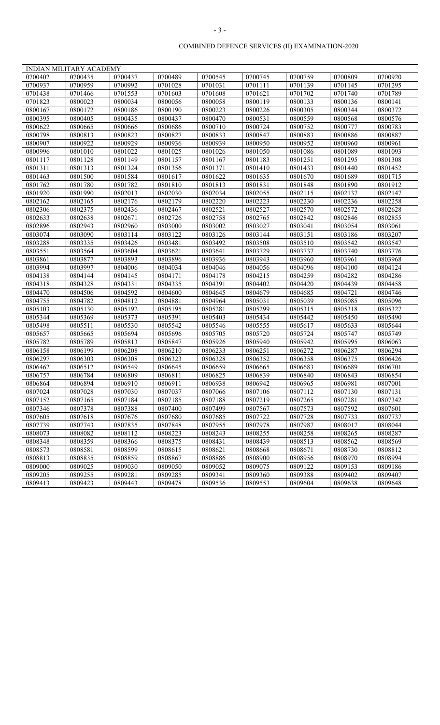|         | INDIAN MILITARY ACADEMY |         |         |         |         |         |         |         |
|---------|-------------------------|---------|---------|---------|---------|---------|---------|---------|
| 0700402 | 0700435                 | 0700437 | 0700489 | 0700545 | 0700745 | 0700759 | 0700809 | 0700920 |
| 0700937 | 0700959                 | 0700992 | 0701028 | 0701031 | 0701111 | 0701139 | 0701145 | 0701295 |
| 0701438 | 0701466                 | 0701553 | 0701603 | 0701608 | 0701621 | 0701702 | 0701740 | 0701789 |
| 0701823 | 0800023                 | 0800034 | 0800056 | 0800058 | 0800119 | 0800133 | 0800136 | 0800141 |
| 0800167 | 0800172                 | 0800186 | 0800190 | 0800223 | 0800226 | 0800305 | 0800344 | 0800372 |
| 0800395 | 0800405                 | 0800435 | 0800437 | 0800470 | 0800531 | 0800559 | 0800568 | 0800576 |
| 0800622 | 0800665                 | 0800666 | 0800686 | 0800710 | 0800724 | 0800752 | 0800777 | 0800783 |
| 0800798 | 0800813                 | 0800823 | 0800827 | 0800833 | 0800847 | 0800883 | 0800886 | 0800887 |
| 0800907 | 0800922                 | 0800929 | 0800936 | 0800939 | 0800950 | 0800952 | 0800960 | 0800961 |
| 0800996 | 0801010                 | 0801022 | 0801025 | 0801026 | 0801050 | 0801086 | 0801089 | 0801093 |
| 0801117 | 0801128                 | 0801149 | 0801157 | 0801167 | 0801183 | 0801251 | 0801295 | 0801308 |
| 0801311 | 0801313                 | 0801324 | 0801356 | 0801371 | 0801410 | 0801433 | 0801440 | 0801452 |
| 0801463 | 0801500                 | 0801584 | 0801617 | 0801622 | 0801635 | 0801670 | 0801689 | 0801715 |
| 0801762 | 0801780                 | 0801782 | 0801810 | 0801813 | 0801831 | 0801848 | 0801890 | 0801912 |
| 0801920 | 0801990                 | 0802013 | 0802030 | 0802034 | 0802055 | 0802115 | 0802137 | 0802147 |
| 0802162 | 0802165                 | 0802176 | 0802179 | 0802220 | 0802223 | 0802230 | 0802236 | 0802258 |
| 0802306 | 0802375                 | 0802436 | 0802467 | 0802521 | 0802527 | 0802570 | 0802572 | 0802628 |
| 0802633 | 0802638                 | 0802671 | 0802726 | 0802758 | 0802765 | 0802842 | 0802846 | 0802855 |
| 0802896 | 0802943                 | 0802960 | 0803000 | 0803002 | 0803027 | 0803041 | 0803054 | 0803061 |
| 0803074 | 0803090                 | 0803114 | 0803122 | 0803126 | 0803144 | 0803151 | 0803186 | 0803207 |
| 0803288 | 0803335                 | 0803426 | 0803481 | 0803492 | 0803508 | 0803510 | 0803542 | 0803547 |
| 0803551 | 0803564                 | 0803604 | 0803621 | 0803641 | 0803729 | 0803737 | 0803740 | 0803776 |
| 0803861 | 0803877                 | 0803893 | 0803896 | 0803936 | 0803943 | 0803960 | 0803961 | 0803968 |
| 0803994 | 0803997                 | 0804006 | 0804034 | 0804046 | 0804056 | 0804096 | 0804100 | 0804124 |
| 0804138 | 0804144                 | 0804145 | 0804171 | 0804178 | 0804215 | 0804259 | 0804282 | 0804286 |
| 0804318 | 0804328                 | 0804331 | 0804335 | 0804391 | 0804402 | 0804420 | 0804439 | 0804458 |
| 0804470 | 0804506                 | 0804592 | 0804600 | 0804645 | 0804679 | 0804685 | 0804721 | 0804746 |
| 0804755 | 0804782                 | 0804812 | 0804881 | 0804964 | 0805031 | 0805039 | 0805085 | 0805096 |
| 0805103 | 0805130                 | 0805192 | 0805195 | 0805281 | 0805299 | 0805315 | 0805318 | 0805327 |
| 0805344 | 0805369                 | 0805373 | 0805391 | 0805403 | 0805434 | 0805442 | 0805450 | 0805490 |
| 0805498 | 0805511                 | 0805530 | 0805542 | 0805546 | 0805555 | 0805617 | 0805633 | 0805644 |
| 0805657 | 0805665                 | 0805694 | 0805696 | 0805705 | 0805720 | 0805724 | 0805747 | 0805749 |
| 0805782 | 0805789                 | 0805813 | 0805847 | 0805926 | 0805940 | 0805942 | 0805995 | 0806063 |
| 0806158 | 0806199                 | 0806208 | 0806210 | 0806233 | 0806251 | 0806272 | 0806287 | 0806294 |
| 0806297 | 0806303                 | 0806308 | 0806323 | 0806328 | 0806352 | 0806358 | 0806375 | 0806426 |
| 0806462 | 0806512                 | 0806549 | 0806645 | 0806659 | 0806665 | 0806683 | 0806689 | 0806701 |
| 0806757 | 0806784                 | 0806809 | 0806811 | 0806825 | 0806839 | 0806840 | 0806843 | 0806854 |
| 0806864 | 0806894                 | 0806910 | 0806911 | 0806938 | 0806942 | 0806965 | 0806981 | 0807001 |
| 0807024 | 0807028                 | 0807030 | 0807037 | 0807066 | 0807106 | 0807112 | 0807130 | 0807131 |
| 0807152 | 0807165                 | 0807184 | 0807185 | 0807188 | 0807219 | 0807265 | 0807281 | 0807342 |
| 0807346 | 0807378                 | 0807388 | 0807400 | 0807499 | 0807567 | 0807573 | 0807592 | 0807601 |
| 0807605 | 0807618                 | 0807676 | 0807680 | 0807685 | 0807722 | 0807728 | 0807733 | 0807737 |
| 0807739 | 0807743                 | 0807835 | 0807848 | 0807955 | 0807978 | 0807987 | 0808017 | 0808044 |
| 0808073 | 0808082                 | 0808112 | 0808223 | 0808243 | 0808255 | 0808258 | 0808265 | 0808287 |
| 0808348 | 0808359                 | 0808366 | 0808375 | 0808431 | 0808439 | 0808513 | 0808562 | 0808569 |
| 0808573 | 0808581                 | 0808599 | 0808615 | 0808621 | 0808668 | 0808671 | 0808730 | 0808812 |
| 0808813 | 0808835                 | 0808859 | 0808867 | 0808886 | 0808900 | 0808956 | 0808970 | 0808994 |
| 0809000 | 0809025                 | 0809030 | 0809050 | 0809052 | 0809075 | 0809122 | 0809153 | 0809186 |
| 0809205 | 0809255                 | 0809281 | 0809285 | 0809341 | 0809360 | 0809388 | 0809402 | 0809407 |
| 0809413 | 0809423                 | 0809443 | 0809478 | 0809536 | 0809553 | 0809604 | 0809638 | 0809648 |
|         |                         |         |         |         |         |         |         |         |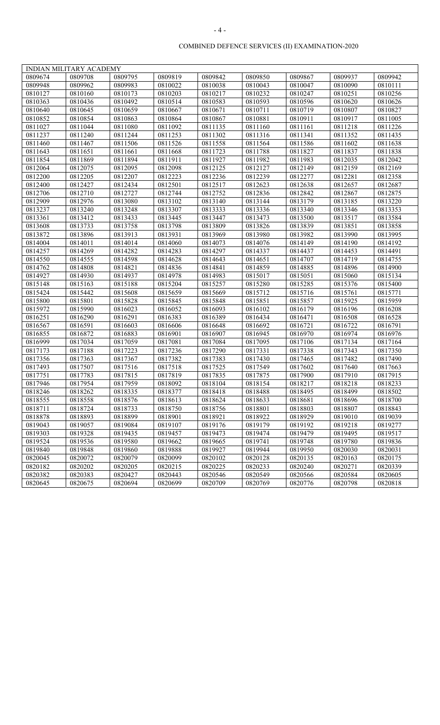|                           | INDIAN MILITARY ACADEMY |         |         |         |         |         |         |         |
|---------------------------|-------------------------|---------|---------|---------|---------|---------|---------|---------|
| 0809674                   | 0809708                 | 0809795 | 0809819 | 0809842 | 0809850 | 0809867 | 0809937 | 0809942 |
| $\frac{0809948}{0809948}$ | 0809962                 | 0809983 | 0810022 | 0810038 | 0810043 | 0810047 | 0810090 | 0810111 |
| 0810127                   | 0810160                 | 0810173 | 0810203 | 0810217 | 0810232 | 0810247 | 0810251 | 0810256 |
| 0810363                   | 0810436                 | 0810492 | 0810514 | 0810583 | 0810593 | 0810596 | 0810620 | 0810626 |
| 0810640                   | 0810645                 | 0810659 | 0810667 | 0810671 | 0810711 | 0810719 | 0810807 | 0810827 |
| 0810852                   | 0810854                 | 0810863 | 0810864 | 0810867 | 0810881 | 0810911 | 0810917 | 0811005 |
| 0811027                   | 0811044                 | 0811080 | 0811092 | 0811135 | 0811160 | 0811161 | 0811218 | 0811226 |
| 0811237                   | 0811240                 | 0811244 | 0811253 | 0811302 | 0811316 | 0811341 | 0811352 | 0811435 |
| 0811460                   | 0811467                 | 0811506 | 0811526 | 0811558 | 0811564 | 0811586 | 0811602 | 0811638 |
| 0811643                   | 0811651                 | 0811661 | 0811668 | 0811723 | 0811788 | 0811827 | 0811837 | 0811838 |
| 0811854                   | 0811869                 | 0811894 | 0811911 | 0811927 | 0811982 | 0811983 | 0812035 | 0812042 |
| 0812064                   | 0812075                 | 0812095 | 0812098 | 0812125 | 0812127 | 0812149 | 0812159 | 0812169 |
| 0812200                   | 0812205                 | 0812207 | 0812223 | 0812236 | 0812239 | 0812277 | 0812281 | 0812358 |
| 0812400                   | 0812427                 | 0812434 | 0812501 | 0812517 | 0812623 | 0812638 | 0812657 | 0812687 |
| 0812706                   | 0812710                 | 0812727 | 0812744 | 0812752 | 0812836 | 0812842 | 0812867 | 0812875 |
| 0812909                   | 0812976                 | 0813080 | 0813102 | 0813140 | 0813144 | 0813179 | 0813185 | 0813220 |
| 0813237                   | 0813240                 | 0813248 | 0813307 | 0813333 | 0813336 | 0813340 | 0813346 | 0813353 |
| 0813361                   | 0813412                 | 0813433 | 0813445 | 0813447 | 0813473 | 0813500 | 0813517 | 0813584 |
| 0813608                   | 0813733                 | 0813758 | 0813798 | 0813809 | 0813826 | 0813839 | 0813851 | 0813858 |
| 0813872                   | 0813896                 | 0813913 | 0813931 | 0813969 | 0813980 | 0813982 | 0813990 | 0813995 |
| 0814004                   | 0814011                 | 0814014 | 0814060 | 0814073 | 0814076 | 0814149 | 0814190 | 0814192 |
| 0814257                   | 0814269                 | 0814282 | 0814283 | 0814297 | 0814337 | 0814437 | 0814453 | 0814491 |
| 0814550                   | 0814555                 | 0814598 | 0814628 | 0814643 | 0814651 | 0814707 | 0814719 | 0814755 |
| 0814762                   | 0814808                 | 0814821 | 0814836 | 0814841 | 0814859 | 0814885 | 0814896 | 0814900 |
| 0814927                   | 0814930                 | 0814937 | 0814978 | 0814983 | 0815017 | 0815051 | 0815060 | 0815134 |
| 0815148                   | 0815163                 | 0815188 | 0815204 | 0815257 | 0815280 | 0815285 | 0815376 | 0815400 |
| 0815424                   | 0815442                 | 0815608 | 0815659 | 0815669 | 0815712 | 0815716 | 0815761 | 0815771 |
| 0815800                   | 0815801                 | 0815828 | 0815845 | 0815848 | 0815851 | 0815857 | 0815925 | 0815959 |
| 0815972                   | 0815990                 | 0816023 | 0816052 | 0816093 | 0816102 | 0816179 | 0816196 | 0816208 |
| 0816251                   | 0816290                 | 0816291 | 0816383 | 0816389 | 0816434 | 0816471 | 0816508 | 0816528 |
| 0816567                   | 0816591                 | 0816603 | 0816606 | 0816648 | 0816692 | 0816721 | 0816722 | 0816791 |
| 0816855                   | 0816872                 | 0816883 | 0816901 | 0816907 | 0816945 | 0816970 | 0816974 | 0816976 |
| 0816999                   | 0817034                 | 0817059 | 0817081 | 0817084 | 0817095 | 0817106 | 0817134 | 0817164 |
| 0817173                   | 0817188                 | 0817223 | 0817236 | 0817290 | 0817331 | 0817338 | 0817343 | 0817350 |
| 0817356                   | 0817363                 | 0817367 | 0817382 | 0817383 | 0817430 | 0817465 | 0817482 | 0817490 |
| 0817493                   | 0817507                 | 0817516 | 0817518 | 0817525 | 0817549 | 0817602 | 0817640 | 0817663 |
| 0817751                   | 0817783                 | 0817815 | 0817819 | 0817835 | 0817875 | 0817900 | 0817910 | 0817915 |
| 0817946                   | 0817954                 | 0817959 | 0818092 | 0818104 | 0818154 | 0818217 | 0818218 | 0818233 |
| 0818246                   | 0818262                 | 0818335 | 0818377 | 0818418 | 0818488 | 0818495 | 0818499 | 0818502 |
| 0818555                   | 0818558                 | 0818576 | 0818613 | 0818624 | 0818633 | 0818681 | 0818696 | 0818700 |
| 0818711                   | 0818724                 | 0818733 | 0818750 | 0818756 | 0818801 | 0818803 | 0818807 | 0818843 |
| 0818878                   | 0818893                 | 0818899 | 0818901 | 0818921 | 0818922 | 0818929 | 0819010 | 0819039 |
| 0819043                   | 0819057                 | 0819084 | 0819107 | 0819176 | 0819179 | 0819192 | 0819218 | 0819277 |
| 0819303                   | 0819328                 | 0819435 | 0819457 | 0819473 | 0819474 | 0819479 | 0819495 | 0819517 |
| 0819524                   | 0819536                 | 0819580 | 0819662 | 0819665 | 0819741 | 0819748 | 0819780 | 0819836 |
| 0819840                   | 0819848                 | 0819860 | 0819888 | 0819927 | 0819944 | 0819950 | 0820030 | 0820031 |
| 0820045                   | 0820072                 | 0820079 | 0820099 | 0820102 | 0820128 | 0820135 | 0820163 | 0820175 |
| 0820182                   | 0820202                 | 0820205 | 0820215 | 0820225 | 0820233 | 0820240 | 0820271 | 0820339 |
| 0820382                   | 0820383                 | 0820427 | 0820443 | 0820546 | 0820549 | 0820566 | 0820584 | 0820605 |
| 0820645                   | 0820675                 | 0820694 | 0820699 | 0820709 | 0820769 | 0820776 | 0820798 | 0820818 |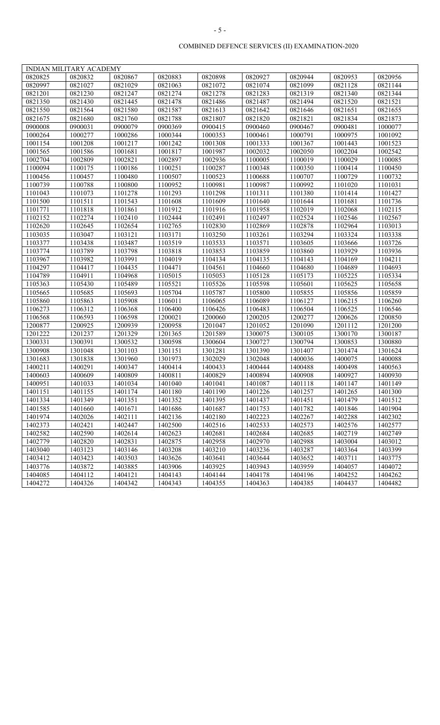| 0820867<br>0820944<br>0820825<br>0820832<br>0820883<br>0820898<br>0820927<br>0820953<br>0820956<br>0820997<br>0821027<br>0821029<br>0821063<br>0821072<br>0821074<br>0821099<br>0821128<br>0821144<br>0821283<br>0821201<br>0821230<br>0821247<br>0821274<br>0821278<br>0821319<br>0821340<br>0821344<br>0821445<br>0821478<br>0821521<br>0821350<br>0821430<br>0821486<br>0821487<br>0821494<br>0821520<br>0821550<br>0821564<br>0821580<br>0821587<br>0821613<br>0821642<br>0821646<br>0821651<br>0821655<br>0821788<br>0821675<br>0821680<br>0821760<br>0821807<br>0821820<br>0821821<br>0821834<br>0821873<br>0900008<br>0900079<br>0900369<br>0900415<br>0900460<br>0900031<br>0900467<br>0900481<br>1000077<br>1000264<br>1000277<br>1000286<br>1000344<br>1000353<br>1000461<br>1000791<br>1000975<br>1001092<br>1001242<br>1001333<br>1001154<br>1001208<br>1001217<br>1001308<br>1001367<br>1001443<br>1001523<br>1001817<br>1001987<br>1001565<br>1001586<br>1001681<br>1002032<br>1002050<br>1002204<br>1002542 |
|----------------------------------------------------------------------------------------------------------------------------------------------------------------------------------------------------------------------------------------------------------------------------------------------------------------------------------------------------------------------------------------------------------------------------------------------------------------------------------------------------------------------------------------------------------------------------------------------------------------------------------------------------------------------------------------------------------------------------------------------------------------------------------------------------------------------------------------------------------------------------------------------------------------------------------------------------------------------------------------------------------------------------|
|                                                                                                                                                                                                                                                                                                                                                                                                                                                                                                                                                                                                                                                                                                                                                                                                                                                                                                                                                                                                                            |
|                                                                                                                                                                                                                                                                                                                                                                                                                                                                                                                                                                                                                                                                                                                                                                                                                                                                                                                                                                                                                            |
|                                                                                                                                                                                                                                                                                                                                                                                                                                                                                                                                                                                                                                                                                                                                                                                                                                                                                                                                                                                                                            |
|                                                                                                                                                                                                                                                                                                                                                                                                                                                                                                                                                                                                                                                                                                                                                                                                                                                                                                                                                                                                                            |
|                                                                                                                                                                                                                                                                                                                                                                                                                                                                                                                                                                                                                                                                                                                                                                                                                                                                                                                                                                                                                            |
|                                                                                                                                                                                                                                                                                                                                                                                                                                                                                                                                                                                                                                                                                                                                                                                                                                                                                                                                                                                                                            |
|                                                                                                                                                                                                                                                                                                                                                                                                                                                                                                                                                                                                                                                                                                                                                                                                                                                                                                                                                                                                                            |
|                                                                                                                                                                                                                                                                                                                                                                                                                                                                                                                                                                                                                                                                                                                                                                                                                                                                                                                                                                                                                            |
|                                                                                                                                                                                                                                                                                                                                                                                                                                                                                                                                                                                                                                                                                                                                                                                                                                                                                                                                                                                                                            |
|                                                                                                                                                                                                                                                                                                                                                                                                                                                                                                                                                                                                                                                                                                                                                                                                                                                                                                                                                                                                                            |
| 1002897<br>1002936<br>1002704<br>1002809<br>1002821<br>1100005<br>1100019<br>1100029<br>1100085                                                                                                                                                                                                                                                                                                                                                                                                                                                                                                                                                                                                                                                                                                                                                                                                                                                                                                                            |
| 1100251<br>1100094<br>1100175<br>1100186<br>1100287<br>1100348<br>1100350<br>1100414<br>1100450                                                                                                                                                                                                                                                                                                                                                                                                                                                                                                                                                                                                                                                                                                                                                                                                                                                                                                                            |
| 1100456<br>1100457<br>1100480<br>1100507<br>1100523<br>1100688<br>1100707<br>1100729<br>1100732                                                                                                                                                                                                                                                                                                                                                                                                                                                                                                                                                                                                                                                                                                                                                                                                                                                                                                                            |
| 1100739<br>1100788<br>1100800<br>1100952<br>1100981<br>1100987<br>1100992<br>1101020<br>1101031                                                                                                                                                                                                                                                                                                                                                                                                                                                                                                                                                                                                                                                                                                                                                                                                                                                                                                                            |
| 1101298<br>1101311<br>1101043<br>1101073<br>1101278<br>1101293<br>1101380<br>1101414<br>1101427                                                                                                                                                                                                                                                                                                                                                                                                                                                                                                                                                                                                                                                                                                                                                                                                                                                                                                                            |
| 1101500<br>1101511<br>1101543<br>1101608<br>1101609<br>1101640<br>1101644<br>1101681<br>1101736                                                                                                                                                                                                                                                                                                                                                                                                                                                                                                                                                                                                                                                                                                                                                                                                                                                                                                                            |
| 1101818<br>1101861<br>1101912<br>1101916<br>1101958<br>1102019<br>1101771<br>1102068<br>1102115                                                                                                                                                                                                                                                                                                                                                                                                                                                                                                                                                                                                                                                                                                                                                                                                                                                                                                                            |
| 1102152<br>1102274<br>1102410<br>1102444<br>1102491<br>1102497<br>1102524<br>1102546<br>1102567                                                                                                                                                                                                                                                                                                                                                                                                                                                                                                                                                                                                                                                                                                                                                                                                                                                                                                                            |
| 1102620<br>1102645<br>1102654<br>1102765<br>1102830<br>1102869<br>1102878<br>1102964<br>1103013                                                                                                                                                                                                                                                                                                                                                                                                                                                                                                                                                                                                                                                                                                                                                                                                                                                                                                                            |
| 1103035<br>1103047<br>1103121<br>1103250<br>1103261<br>1103294<br>1103324<br>1103338<br>1103171                                                                                                                                                                                                                                                                                                                                                                                                                                                                                                                                                                                                                                                                                                                                                                                                                                                                                                                            |
| 1103377<br>1103487<br>1103571<br>1103438<br>1103519<br>1103533<br>1103605<br>1103666<br>1103726                                                                                                                                                                                                                                                                                                                                                                                                                                                                                                                                                                                                                                                                                                                                                                                                                                                                                                                            |
| 1103774<br>1103789<br>1103798<br>1103818<br>1103853<br>1103859<br>1103860<br>1103929<br>1103936                                                                                                                                                                                                                                                                                                                                                                                                                                                                                                                                                                                                                                                                                                                                                                                                                                                                                                                            |
| 1103967<br>1103982<br>1103991<br>1104019<br>1104134<br>1104135<br>1104143<br>1104169<br>1104211                                                                                                                                                                                                                                                                                                                                                                                                                                                                                                                                                                                                                                                                                                                                                                                                                                                                                                                            |
| 1104297<br>1104417<br>1104435<br>1104471<br>1104561<br>1104660<br>1104680<br>1104689<br>1104693                                                                                                                                                                                                                                                                                                                                                                                                                                                                                                                                                                                                                                                                                                                                                                                                                                                                                                                            |
| 1104789<br>1104911<br>1104968<br>1105015<br>1105128<br>1105053<br>1105173<br>1105225<br>1105334                                                                                                                                                                                                                                                                                                                                                                                                                                                                                                                                                                                                                                                                                                                                                                                                                                                                                                                            |
| 1105430<br>1105489<br>1105521<br>1105526<br>1105598<br>1105601<br>1105625<br>1105363<br>1105658                                                                                                                                                                                                                                                                                                                                                                                                                                                                                                                                                                                                                                                                                                                                                                                                                                                                                                                            |
| 1105704<br>1105787<br>1105800<br>1105855<br>1105856<br>1105665<br>1105685<br>1105693<br>1105859                                                                                                                                                                                                                                                                                                                                                                                                                                                                                                                                                                                                                                                                                                                                                                                                                                                                                                                            |
| 1105860<br>1105863<br>1105908<br>1106011<br>1106065<br>1106089<br>1106127<br>1106215<br>1106260                                                                                                                                                                                                                                                                                                                                                                                                                                                                                                                                                                                                                                                                                                                                                                                                                                                                                                                            |
| 1106426<br>1106525<br>1106273<br>1106312<br>1106368<br>1106400<br>1106483<br>1106504<br>1106546                                                                                                                                                                                                                                                                                                                                                                                                                                                                                                                                                                                                                                                                                                                                                                                                                                                                                                                            |
| 1200021<br>1106568<br>1106593<br>1106598<br>1200060<br>1200205<br>1200277<br>1200626<br>1200850                                                                                                                                                                                                                                                                                                                                                                                                                                                                                                                                                                                                                                                                                                                                                                                                                                                                                                                            |
| 1200877<br>1200925<br>1200939<br>1200958<br>1201047<br>1201052<br>1201090<br>1201112<br>1201200                                                                                                                                                                                                                                                                                                                                                                                                                                                                                                                                                                                                                                                                                                                                                                                                                                                                                                                            |
| 1201222<br>1201237<br>1201329<br>1201365<br>1201589<br>1300075<br>1300170<br>1300105<br>1300187                                                                                                                                                                                                                                                                                                                                                                                                                                                                                                                                                                                                                                                                                                                                                                                                                                                                                                                            |
| 1300532<br>1300598<br>1300604<br>1300727<br>1300794<br>1300331<br>1300391<br>1300853<br>1300880                                                                                                                                                                                                                                                                                                                                                                                                                                                                                                                                                                                                                                                                                                                                                                                                                                                                                                                            |
| 1300908<br>1301048<br>1301103<br>1301151<br>1301281<br>1301390<br>1301407<br>1301474<br>1301624                                                                                                                                                                                                                                                                                                                                                                                                                                                                                                                                                                                                                                                                                                                                                                                                                                                                                                                            |
| 1301973<br>1302029<br>1301683<br>1301838<br>1301960<br>1302048<br>1400036<br>1400075<br>1400088                                                                                                                                                                                                                                                                                                                                                                                                                                                                                                                                                                                                                                                                                                                                                                                                                                                                                                                            |
| 1400211<br>1400291<br>1400347<br>1400414<br>1400433<br>1400444<br>1400488<br>1400498<br>1400563                                                                                                                                                                                                                                                                                                                                                                                                                                                                                                                                                                                                                                                                                                                                                                                                                                                                                                                            |
| 1400809<br>1400811<br>1400829<br>1400894<br>1400908<br>1400927<br>1400930<br>1400603<br>1400609                                                                                                                                                                                                                                                                                                                                                                                                                                                                                                                                                                                                                                                                                                                                                                                                                                                                                                                            |
| 1401118<br>1400951<br>1401033<br>1401034<br>1401040<br>1401041<br>1401087<br>1401147<br>1401149                                                                                                                                                                                                                                                                                                                                                                                                                                                                                                                                                                                                                                                                                                                                                                                                                                                                                                                            |
| 1401180<br>1401190<br>1401151<br>1401155<br>1401174<br>1401226<br>1401257<br>1401265<br>1401300                                                                                                                                                                                                                                                                                                                                                                                                                                                                                                                                                                                                                                                                                                                                                                                                                                                                                                                            |
| 1401334<br>1401349<br>1401351<br>1401352<br>1401395<br>1401437<br>1401451<br>1401479<br>1401512                                                                                                                                                                                                                                                                                                                                                                                                                                                                                                                                                                                                                                                                                                                                                                                                                                                                                                                            |
| 1401671<br>1401753<br>1401846<br>1401585<br>1401660<br>1401686<br>1401687<br>1401782<br>1401904                                                                                                                                                                                                                                                                                                                                                                                                                                                                                                                                                                                                                                                                                                                                                                                                                                                                                                                            |
| 1402026<br>1402111<br>1402136<br>1402180<br>1402223<br>1402267<br>1402288<br>1401974<br>1402302                                                                                                                                                                                                                                                                                                                                                                                                                                                                                                                                                                                                                                                                                                                                                                                                                                                                                                                            |
| 1402447<br>1402373<br>1402421<br>1402500<br>1402516<br>1402533<br>1402573<br>1402576<br>1402577                                                                                                                                                                                                                                                                                                                                                                                                                                                                                                                                                                                                                                                                                                                                                                                                                                                                                                                            |
| 1402582<br>1402590<br>1402614<br>1402623<br>1402681<br>1402684<br>1402685<br>1402719<br>1402749                                                                                                                                                                                                                                                                                                                                                                                                                                                                                                                                                                                                                                                                                                                                                                                                                                                                                                                            |
| 1402779<br>1402875<br>1402958<br>1402970<br>1402988<br>1402820<br>1402831<br>1403004<br>1403012                                                                                                                                                                                                                                                                                                                                                                                                                                                                                                                                                                                                                                                                                                                                                                                                                                                                                                                            |
| 1403236<br>1403040<br>1403123<br>1403146<br>1403208<br>1403210<br>1403287<br>1403364<br>1403399                                                                                                                                                                                                                                                                                                                                                                                                                                                                                                                                                                                                                                                                                                                                                                                                                                                                                                                            |
| 1403412<br>1403423<br>1403503<br>1403626<br>1403641<br>1403644<br>1403652<br>1403711<br>1403775                                                                                                                                                                                                                                                                                                                                                                                                                                                                                                                                                                                                                                                                                                                                                                                                                                                                                                                            |
| 1403872<br>1403885<br>1403906<br>1403925<br>1403943<br>1403959<br>1403776<br>1404057<br>1404072                                                                                                                                                                                                                                                                                                                                                                                                                                                                                                                                                                                                                                                                                                                                                                                                                                                                                                                            |
| 1404085<br>1404112<br>1404121<br>1404143<br>1404144<br>1404178<br>1404196<br>1404252<br>1404262                                                                                                                                                                                                                                                                                                                                                                                                                                                                                                                                                                                                                                                                                                                                                                                                                                                                                                                            |
| 1404272<br>1404326<br>1404342<br>1404343<br>1404355<br>1404363<br>1404385<br>1404437<br>1404482                                                                                                                                                                                                                                                                                                                                                                                                                                                                                                                                                                                                                                                                                                                                                                                                                                                                                                                            |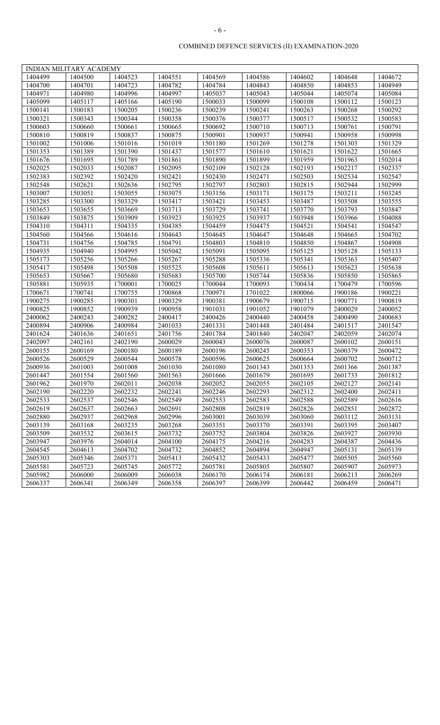|         | <b>INDIAN MILITARY ACADEMY</b> |         |         |         |         |         |         |         |
|---------|--------------------------------|---------|---------|---------|---------|---------|---------|---------|
| 1404499 | 1404500                        | 1404523 | 1404551 | 1404569 | 1404586 | 1404602 | 1404648 | 1404672 |
| 1404700 | 1404701                        | 1404723 | 1404782 | 1404784 | 1404843 | 1404850 | 1404853 | 1404949 |
| 1404971 | 1404980                        | 1404996 | 1404997 | 1405037 | 1405043 | 1405044 | 1405074 | 1405084 |
| 1405099 | 1405117                        | 1405166 | 1405190 | 1500033 | 1500099 | 1500108 | 1500112 | 1500123 |
| 1500141 | 1500183                        | 1500205 | 1500236 | 1500239 | 1500241 | 1500263 | 1500268 | 1500292 |
| 1500321 | 1500343                        | 1500344 | 1500358 | 1500376 | 1500377 | 1500517 | 1500532 | 1500583 |
| 1500603 | 1500660                        | 1500661 | 1500665 | 1500692 | 1500710 | 1500713 | 1500761 | 1500791 |
| 1500810 | 1500819                        | 1500837 | 1500875 | 1500901 | 1500937 | 1500941 | 1500958 | 1500998 |
| 1501002 | 1501006                        | 1501016 | 1501019 | 1501180 | 1501269 | 1501278 | 1501303 | 1501329 |
| 1501353 | 1501389                        | 1501390 | 1501437 | 1501577 | 1501610 | 1501621 | 1501622 | 1501665 |
| 1501676 | 1501695                        | 1501789 | 1501861 | 1501890 | 1501899 | 1501959 | 1501963 | 1502014 |
| 1502025 | 1502033                        | 1502087 | 1502095 | 1502109 | 1502128 | 1502193 | 1502217 | 1502337 |
| 1502383 | 1502392                        | 1502420 | 1502421 | 1502430 | 1502471 | 1502503 | 1502534 | 1502547 |
| 1502548 | 1502621                        | 1502636 | 1502795 | 1502797 | 1502803 | 1502815 | 1502944 | 1502999 |
| 1503007 | 1503051                        | 1503055 | 1503075 | 1503156 | 1503171 | 1503175 | 1503211 | 1503245 |
| 1503285 | 1503300                        | 1503329 | 1503417 | 1503421 | 1503453 | 1503487 | 1503508 | 1503555 |
| 1503653 | 1503655                        | 1503669 | 1503713 | 1503729 | 1503741 | 1503770 | 1503793 | 1503847 |
| 1503849 | 1503875                        | 1503909 | 1503923 | 1503925 | 1503937 | 1503948 | 1503966 | 1504088 |
| 1504310 | 1504311                        | 1504335 | 1504385 | 1504459 | 1504475 | 1504521 | 1504541 | 1504547 |
| 1504560 | 1504566                        | 1504616 | 1504643 | 1504645 | 1504647 | 1504648 | 1504665 | 1504702 |
| 1504731 | 1504756                        | 1504785 | 1504791 | 1504803 | 1504810 | 1504850 | 1504867 | 1504908 |
| 1504935 | 1504940                        | 1504995 | 1505042 | 1505091 | 1505095 | 1505125 | 1505128 | 1505133 |
| 1505173 | 1505256                        | 1505266 | 1505267 | 1505288 | 1505336 | 1505341 | 1505363 | 1505407 |
| 1505417 | 1505498                        | 1505508 | 1505525 | 1505608 | 1505611 | 1505613 | 1505623 | 1505638 |
| 1505653 | 1505667                        | 1505680 | 1505683 | 1505700 | 1505744 | 1505836 | 1505850 | 1505865 |
| 1505881 | 1505935                        | 1700001 | 1700025 | 1700044 | 1700093 | 1700434 | 1700479 | 1700596 |
| 1700671 | 1700741                        | 1700755 | 1700868 | 1700971 | 1701022 | 1800066 | 1900186 | 1900221 |
| 1900275 | 1900285                        | 1900301 | 1900329 | 1900381 | 1900679 | 1900715 | 1900771 | 1900819 |
| 1900825 | 1900852                        | 1900939 | 1900958 | 1901031 | 1901052 | 1901079 | 2400029 | 2400052 |
| 2400062 | 2400243                        | 2400282 | 2400417 | 2400426 | 2400440 | 2400458 | 2400490 | 2400683 |
| 2400894 | 2400906                        | 2400984 | 2401033 | 2401331 | 2401448 | 2401484 | 2401517 | 2401547 |
| 2401624 | 2401636                        | 2401651 | 2401756 | 2401784 | 2401840 | 2402047 | 2402059 | 2402074 |
| 2402097 | 2402161                        | 2402190 | 2600029 | 2600043 | 2600076 | 2600087 | 2600102 | 2600151 |
| 2600155 | 2600169                        | 2600180 | 2600189 | 2600196 | 2600245 | 2600353 | 2600379 | 2600472 |
| 2600526 | 2600529                        | 2600544 | 2600578 | 2600596 | 2600625 | 2600664 | 2600702 | 2600712 |
| 2600936 | 2601003                        | 2601008 | 2601030 | 2601080 | 2601343 | 2601353 | 2601366 | 2601387 |
| 2601447 | 2601554                        | 2601560 | 2601563 | 2601666 | 2601679 | 2601695 | 2601733 | 2601812 |
| 2601962 | 2601970                        | 2602011 | 2602038 | 2602052 | 2602055 | 2602105 | 2602127 | 2602141 |
| 2602190 | 2602220                        | 2602232 | 2602241 | 2602246 | 2602293 | 2602312 | 2602400 | 2602411 |
| 2602533 | 2602537                        | 2602546 | 2602549 | 2602553 | 2602583 | 2602588 | 2602589 | 2602616 |
| 2602619 | 2602637                        | 2602663 | 2602691 | 2602808 | 2602819 | 2602826 | 2602851 | 2602872 |
| 2602880 | 2602937                        | 2602968 | 2602996 | 2603001 | 2603039 | 2603060 | 2603112 | 2603131 |
| 2603139 | 2603168                        | 2603235 | 2603268 | 2603351 | 2603370 | 2603391 | 2603395 | 2603407 |
| 2603509 | 2603532                        | 2603615 | 2603732 | 2603752 | 2603804 | 2603826 | 2603927 | 2603930 |
| 2603947 | 2603976                        | 2604014 | 2604100 | 2604175 | 2604216 | 2604283 | 2604387 | 2604436 |
| 2604545 | 2604613                        | 2604702 | 2604732 | 2604852 | 2604894 | 2604947 | 2605131 | 2605139 |
| 2605303 | 2605346                        | 2605371 | 2605413 | 2605432 | 2605433 | 2605477 | 2605505 | 2605560 |
| 2605581 | 2605723                        | 2605745 | 2605772 | 2605781 | 2605805 | 2605807 | 2605907 | 2605973 |
| 2605982 | 2606000                        | 2606009 | 2606038 | 2606170 | 2606174 | 2606181 | 2606213 | 2606269 |
| 2606337 | 2606341                        | 2606349 | 2606358 | 2606397 | 2606399 | 2606442 | 2606459 | 2606471 |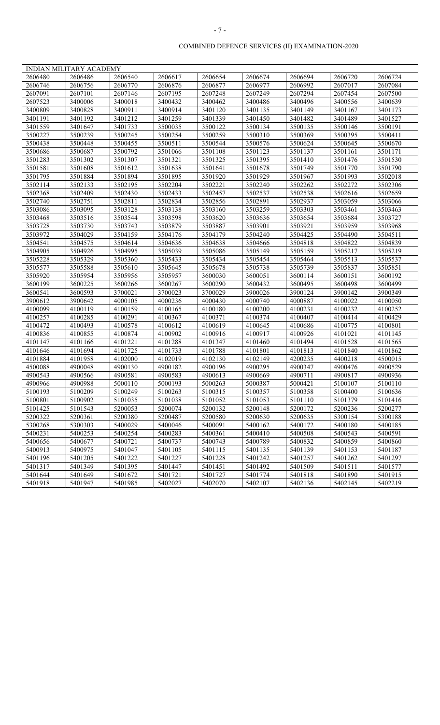|         | <b>INDIAN MILITARY ACADEMY</b> |         |         |         |         |         |         |         |
|---------|--------------------------------|---------|---------|---------|---------|---------|---------|---------|
| 2606480 | 2606486                        | 2606540 | 2606617 | 2606654 | 2606674 | 2606694 | 2606720 | 2606724 |
| 2606746 | 2606756                        | 2606770 | 2606876 | 2606877 | 2606977 | 2606992 | 2607017 | 2607084 |
| 2607091 | 2607101                        | 2607146 | 2607195 | 2607248 | 2607249 | 2607294 | 2607454 | 2607500 |
| 2607523 | 3400006                        | 3400018 | 3400432 | 3400462 | 3400486 | 3400496 | 3400556 | 3400639 |
| 3400809 | 3400828                        | 3400911 | 3400914 | 3401120 | 3401135 | 3401149 | 3401167 | 3401173 |
| 3401191 | 3401192                        | 3401212 | 3401259 | 3401339 | 3401450 | 3401482 | 3401489 | 3401527 |
| 3401559 | 3401647                        | 3401733 | 3500035 | 3500122 | 3500134 | 3500135 | 3500146 | 3500191 |
| 3500227 | 3500239                        | 3500245 | 3500254 | 3500259 | 3500310 | 3500369 | 3500395 | 3500411 |
| 3500438 | 3500448                        | 3500455 | 3500511 | 3500544 | 3500576 | 3500624 | 3500645 | 3500670 |
| 3500686 | 3500687                        | 3500792 | 3501066 | 3501108 | 3501123 | 3501137 | 3501161 | 3501171 |
| 3501283 | 3501302                        | 3501307 | 3501321 | 3501325 | 3501395 | 3501410 | 3501476 | 3501530 |
| 3501581 | 3501608                        | 3501612 | 3501638 | 3501641 | 3501678 | 3501749 | 3501770 | 3501790 |
| 3501795 | 3501884                        | 3501894 | 3501895 | 3501920 | 3501929 | 3501967 | 3501993 | 3502018 |
| 3502114 | 3502133                        | 3502195 | 3502204 | 3502221 | 3502240 | 3502262 | 3502272 | 3502306 |
| 3502368 | 3502409                        | 3502430 | 3502433 | 3502457 | 3502537 | 3502538 | 3502616 | 3502659 |
| 3502740 | 3502751                        | 3502811 | 3502834 | 3502856 | 3502891 | 3502937 | 3503059 | 3503066 |
| 3503086 | 3503095                        | 3503128 | 3503138 | 3503160 | 3503259 | 3503303 | 3503461 | 3503463 |
| 3503468 | 3503516                        | 3503544 | 3503598 | 3503620 | 3503636 | 3503654 | 3503684 | 3503727 |
| 3503728 | 3503730                        | 3503743 | 3503879 | 3503887 | 3503901 | 3503921 | 3503959 | 3503968 |
| 3503972 | 3504029                        | 3504159 | 3504176 | 3504179 | 3504240 | 3504425 | 3504490 | 3504511 |
| 3504541 | 3504575                        | 3504614 | 3504636 | 3504638 | 3504666 | 3504818 | 3504822 | 3504839 |
| 3504905 | 3504926                        | 3504995 | 3505039 | 3505086 | 3505149 | 3505159 | 3505217 | 3505219 |
| 3505228 | 3505329                        | 3505360 | 3505433 | 3505434 | 3505454 | 3505464 | 3505513 | 3505537 |
| 3505577 | 3505588                        | 3505610 | 3505645 | 3505678 | 3505738 | 3505739 | 3505837 | 3505851 |
| 3505920 | 3505954                        | 3505956 | 3505957 | 3600030 | 3600051 | 3600114 | 3600151 | 3600192 |
| 3600199 | 3600225                        | 3600266 | 3600267 | 3600290 | 3600432 | 3600495 | 3600498 | 3600499 |
| 3600541 | 3600593                        | 3700021 | 3700023 | 3700029 | 3900026 | 3900124 | 3900142 | 3900349 |
| 3900612 | 3900642                        | 4000105 | 4000236 | 4000430 | 4000740 | 4000887 | 4100022 | 4100050 |
| 4100099 | 4100119                        | 4100159 | 4100165 | 4100180 | 4100200 | 4100231 | 4100232 | 4100252 |
| 4100257 | 4100285                        | 4100291 | 4100367 | 4100371 | 4100374 | 4100407 | 4100414 | 4100429 |
| 4100472 | 4100493                        | 4100578 | 4100612 | 4100619 | 4100645 | 4100686 | 4100775 | 4100801 |
| 4100836 | 4100855                        | 4100874 | 4100902 | 4100916 | 4100917 | 4100926 | 4101021 | 4101145 |
| 4101147 | 4101166                        | 4101221 | 4101288 | 4101347 | 4101460 | 4101494 | 4101528 | 4101565 |
| 4101646 | 4101694                        | 4101725 | 4101733 | 4101788 | 4101801 | 4101813 | 4101840 | 4101862 |
| 4101884 | 4101958                        | 4102000 | 4102019 | 4102130 | 4102149 | 4200235 | 4400218 | 4500015 |
| 4500088 | 4900048                        | 4900130 | 4900182 | 4900196 | 4900295 | 4900347 | 4900476 | 4900529 |
| 4900543 | 4900566                        | 4900581 | 4900583 | 4900613 | 4900669 | 4900711 | 4900817 | 4900936 |
| 4900966 | 4900988                        | 5000110 | 5000193 | 5000263 | 5000387 | 5000421 | 5100107 | 5100110 |
| 5100193 | 5100209                        | 5100249 | 5100263 | 5100315 | 5100357 | 5100358 | 5100400 | 5100636 |
| 5100801 | 5100902                        | 5101035 | 5101038 | 5101052 | 5101053 | 5101110 | 5101379 | 5101416 |
| 5101425 | 5101543                        | 5200053 | 5200074 | 5200132 | 5200148 | 5200172 | 5200236 | 5200277 |
| 5200322 | 5200361                        | 5200380 | 5200487 | 5200580 | 5200630 | 5200635 | 5300154 | 5300188 |
| 5300268 | 5300303                        | 5400029 | 5400046 | 5400091 | 5400162 | 5400172 | 5400180 | 5400185 |
| 5400231 | 5400253                        | 5400254 | 5400283 | 5400361 | 5400410 | 5400508 | 5400543 | 5400591 |
| 5400656 | 5400677                        | 5400721 | 5400737 | 5400743 | 5400789 | 5400832 | 5400859 | 5400860 |
| 5400913 | 5400975                        | 5401047 | 5401105 | 5401115 | 5401135 | 5401139 | 5401153 | 5401187 |
| 5401196 | 5401205                        | 5401222 | 5401227 | 5401228 | 5401242 | 5401257 | 5401262 | 5401297 |
| 5401317 | 5401349                        | 5401395 | 5401447 | 5401451 | 5401492 | 5401509 | 5401511 | 5401577 |
| 5401644 | 5401649                        | 5401672 | 5401721 | 5401727 | 5401774 | 5401818 | 5401890 | 5401915 |
| 5401918 | 5401947                        | 5401985 | 5402027 | 5402070 | 5402107 | 5402136 | 5402145 | 5402219 |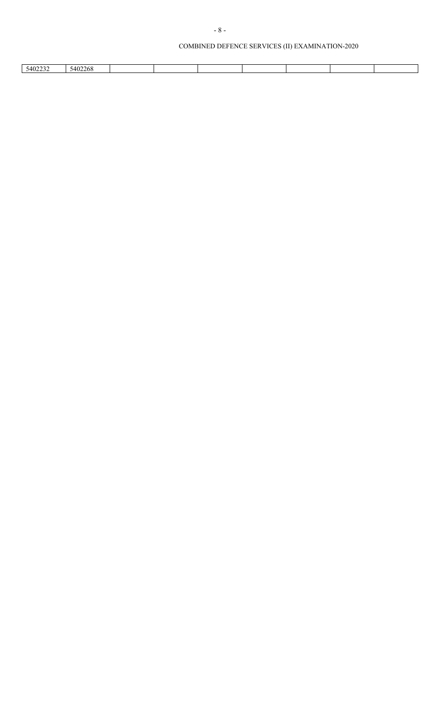| 5402268 |         |  |  |  |  |
|---------|---------|--|--|--|--|
|         | 5402232 |  |  |  |  |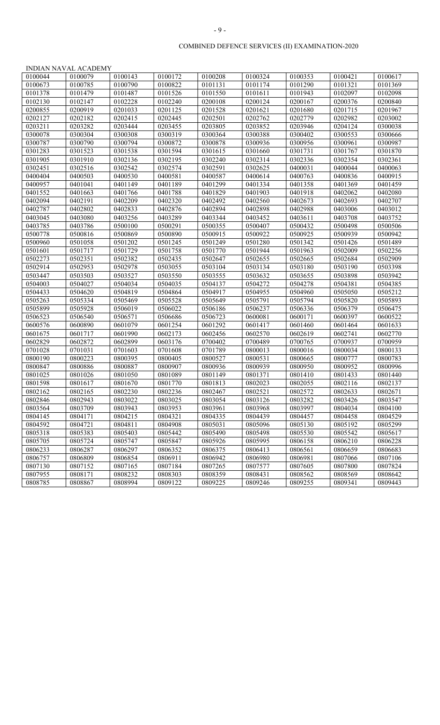|         | <b>INDIAN NAVAL ACADEMY</b> |         |         |         |         |         |         |         |
|---------|-----------------------------|---------|---------|---------|---------|---------|---------|---------|
| 0100044 | 0100079                     | 0100143 | 0100172 | 0100208 | 0100324 | 0100353 | 0100421 | 0100617 |
| 0100673 | 0100785                     | 0100790 | 0100822 | 0101131 | 0101174 | 0101290 | 0101321 | 0101369 |
| 0101378 | 0101479                     | 0101487 | 0101526 | 0101550 | 0101611 | 0101943 | 0102097 | 0102098 |
| 0102130 | 0102147                     | 0102228 | 0102240 | 0200108 | 0200124 | 0200167 | 0200376 | 0200840 |
| 0200855 | 0200919                     | 0201033 | 0201125 | 0201528 | 0201621 | 0201680 | 0201715 | 0201967 |
| 0202127 | 0202182                     | 0202415 | 0202445 | 0202501 | 0202762 | 0202779 | 0202982 | 0203002 |
| 0203211 | 0203282                     | 0203444 | 0203455 | 0203805 | 0203852 | 0203946 | 0204124 | 0300038 |
| 0300078 | 0300304                     | 0300308 | 0300319 | 0300364 | 0300388 | 0300402 | 0300553 | 0300666 |
| 0300787 | 0300790                     | 0300794 | 0300872 | 0300878 | 0300936 | 0300956 | 0300961 | 0300987 |
| 0301283 | 0301523                     | 0301538 | 0301594 | 0301615 | 0301660 | 0301731 | 0301767 | 0301870 |
| 0301905 | 0301910                     | 0302136 | 0302195 | 0302240 | 0302314 | 0302336 | 0302354 | 0302361 |
| 0302451 | 0302516                     | 0302542 | 0302574 | 0302591 | 0302625 | 0400031 | 0400044 | 0400063 |
| 0400404 | 0400503                     | 0400530 | 0400581 | 0400587 | 0400614 | 0400763 | 0400836 | 0400915 |
| 0400957 | 0401041                     | 0401149 | 0401189 | 0401299 | 0401334 | 0401358 | 0401369 | 0401459 |
| 0401552 | 0401663                     | 0401766 | 0401788 | 0401829 | 0401903 | 0401918 | 0402062 | 0402080 |
| 0402094 | 0402191                     | 0402209 | 0402320 | 0402492 | 0402560 | 0402673 | 0402693 | 0402707 |
| 0402787 | 0402802                     | 0402833 | 0402876 | 0402894 | 0402898 | 0402988 | 0403006 | 0403012 |
| 0403045 | 0403080                     | 0403256 | 0403289 | 0403344 | 0403452 | 0403611 | 0403708 | 0403752 |
| 0403785 | 0403786                     | 0500100 | 0500291 | 0500355 | 0500407 | 0500432 | 0500498 | 0500506 |
| 0500778 | 0500816                     | 0500869 | 0500890 | 0500915 | 0500922 | 0500925 | 0500939 | 0500942 |
| 0500960 | 0501058                     | 0501202 | 0501245 | 0501249 | 0501280 | 0501342 | 0501426 | 0501489 |
| 0501601 | 0501717                     | 0501729 | 0501758 | 0501770 | 0501944 | 0501963 | 0502009 | 0502256 |
| 0502273 | 0502351                     | 0502382 | 0502435 | 0502647 | 0502655 | 0502665 | 0502684 | 0502909 |
| 0502914 | 0502953                     | 0502978 | 0503055 | 0503104 | 0503134 | 0503180 | 0503190 | 0503398 |
| 0503447 | 0503503                     | 0503527 | 0503550 | 0503555 | 0503632 | 0503655 | 0503898 | 0503942 |
| 0504003 | 0504027                     | 0504034 | 0504035 | 0504137 | 0504272 | 0504278 | 0504381 | 0504385 |
| 0504433 | 0504620                     | 0504819 | 0504864 | 0504917 | 0504955 | 0504960 | 0505050 | 0505212 |
| 0505263 | 0505334                     | 0505469 | 0505528 | 0505649 | 0505791 | 0505794 | 0505820 | 0505893 |
| 0505899 | 0505928                     | 0506019 | 0506022 | 0506186 | 0506237 | 0506336 | 0506379 | 0506475 |
| 0506523 | 0506540                     | 0506571 | 0506686 | 0506723 | 0600081 | 0600171 | 0600397 | 0600522 |
| 0600576 | 0600890                     | 0601079 | 0601254 | 0601292 | 0601417 | 0601460 | 0601464 | 0601633 |
| 0601675 | 0601717                     | 0601990 | 0602173 | 0602456 | 0602570 | 0602619 | 0602741 | 0602770 |
| 0602829 | 0602872                     | 0602899 | 0603176 | 0700402 | 0700489 | 0700765 | 0700937 | 0700959 |
| 0701028 | 0701031                     | 0701603 | 0701608 | 0701789 | 0800013 | 0800016 | 0800034 | 0800133 |
| 0800190 | 0800223                     | 0800395 | 0800405 | 0800527 | 0800531 | 0800665 | 0800777 | 0800783 |
| 0800847 | 0800886                     | 0800887 | 0800907 | 0800936 | 0800939 | 0800950 | 0800952 | 0800996 |
| 0801025 | 0801026                     | 0801050 | 0801089 | 0801149 | 0801371 | 0801410 | 0801433 | 0801440 |
| 0801598 | 0801617                     | 0801670 | 0801770 | 0801813 | 0802023 | 0802055 | 0802116 | 0802137 |
| 0802162 | 0802165                     | 0802230 | 0802236 | 0802467 | 0802521 | 0802572 | 0802633 | 0802671 |
| 0802846 | 0802943                     | 0803022 | 0803025 | 0803054 | 0803126 | 0803282 | 0803426 | 0803547 |
| 0803564 | 0803709                     | 0803943 | 0803953 | 0803961 | 0803968 | 0803997 | 0804034 | 0804100 |
| 0804145 | 0804171                     | 0804215 | 0804321 | 0804335 | 0804439 | 0804457 | 0804458 | 0804529 |
| 0804592 | 0804721                     | 0804811 | 0804908 | 0805031 | 0805096 | 0805130 | 0805192 | 0805299 |
| 0805318 | 0805383                     | 0805403 | 0805442 | 0805490 | 0805498 | 0805530 | 0805542 | 0805617 |
| 0805705 | 0805724                     | 0805747 | 0805847 | 0805926 | 0805995 | 0806158 | 0806210 | 0806228 |
| 0806233 | 0806287                     | 0806297 | 0806352 | 0806375 | 0806413 | 0806561 | 0806659 | 0806683 |
| 0806757 | 0806809                     | 0806854 | 0806911 | 0806942 | 0806980 | 0806981 | 0807066 | 0807106 |
| 0807130 | 0807152                     | 0807165 | 0807184 | 0807265 | 0807577 | 0807605 | 0807800 | 0807824 |
| 0807955 | 0808171                     | 0808232 | 0808303 | 0808359 | 0808431 | 0808562 | 0808569 | 0808642 |
| 0808785 | 0808867                     | 0808994 | 0809122 | 0809225 | 0809246 | 0809255 | 0809341 | 0809443 |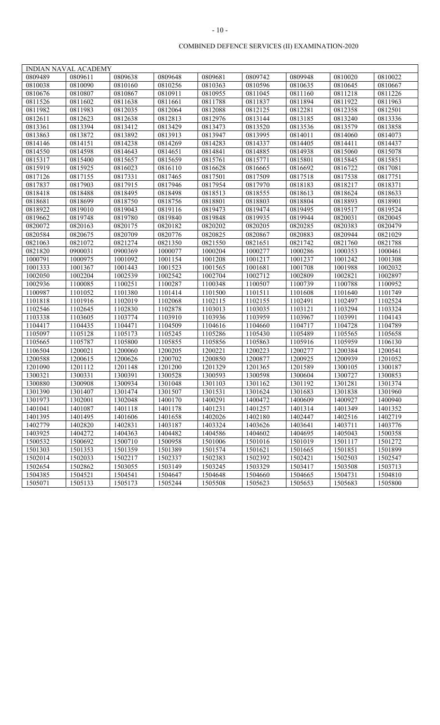|         | <b>INDIAN NAVAL ACADEMY</b> |         |         |         |         |         |         |         |
|---------|-----------------------------|---------|---------|---------|---------|---------|---------|---------|
| 0809489 | 0809611                     | 0809638 | 0809648 | 0809681 | 0809742 | 0809948 | 0810020 | 0810022 |
| 0810038 | 0810090                     | 0810160 | 0810256 | 0810363 | 0810596 | 0810635 | 0810645 | 0810667 |
| 0810676 | 0810807                     | 0810867 | 0810911 | 0810955 | 0811045 | 0811160 | 0811218 | 0811226 |
| 0811526 | 0811602                     | 0811638 | 0811661 | 0811788 | 0811837 | 0811894 | 0811922 | 0811963 |
| 0811982 | 0811983                     | 0812035 | 0812064 | 0812088 | 0812125 | 0812281 | 0812358 | 0812501 |
| 0812611 | 0812623                     | 0812638 | 0812813 | 0812976 | 0813144 | 0813185 | 0813240 | 0813336 |
| 0813361 | 0813394                     | 0813412 | 0813429 | 0813473 | 0813520 | 0813536 | 0813579 | 0813858 |
| 0813863 | 0813872                     | 0813892 | 0813913 | 0813947 | 0813995 | 0814011 | 0814060 | 0814073 |
| 0814146 | 0814151                     | 0814238 | 0814269 | 0814283 | 0814337 | 0814405 | 0814411 | 0814437 |
| 0814550 | 0814598                     | 0814643 | 0814651 | 0814841 | 0814885 | 0814938 | 0815060 | 0815078 |
| 0815317 | 0815400                     | 0815657 | 0815659 | 0815761 | 0815771 | 0815801 | 0815845 | 0815851 |
| 0815919 | 0815925                     | 0816023 | 0816110 | 0816628 | 0816665 | 0816692 | 0816722 | 0817081 |
| 0817126 | 0817155                     | 0817331 | 0817465 | 0817501 | 0817509 | 0817518 | 0817538 | 0817751 |
| 0817837 | 0817903                     | 0817915 | 0817946 | 0817954 | 0817970 | 0818183 | 0818217 | 0818371 |
| 0818418 | 0818488                     | 0818495 | 0818498 | 0818513 | 0818555 | 0818613 | 0818624 | 0818633 |
| 0818681 | 0818699                     | 0818750 | 0818756 | 0818801 | 0818803 | 0818804 | 0818893 | 0818901 |
| 0818922 | 0819010                     | 0819043 | 0819116 | 0819473 | 0819474 | 0819495 | 0819517 | 0819524 |
| 0819662 | 0819748                     | 0819780 | 0819840 | 0819848 | 0819935 | 0819944 | 0820031 | 0820045 |
| 0820072 | 0820163                     | 0820175 | 0820182 | 0820202 | 0820205 | 0820285 | 0820383 | 0820479 |
| 0820584 | 0820675                     | 0820709 | 0820776 | 0820825 | 0820867 | 0820883 | 0820944 | 0821029 |
| 0821063 | 0821072                     | 0821274 | 0821350 | 0821550 | 0821651 | 0821742 | 0821760 | 0821788 |
| 0821820 | 0900031                     | 0900369 | 1000077 | 1000204 | 1000277 | 1000286 | 1000353 | 1000461 |
| 1000791 | 1000975                     | 1001092 | 1001154 | 1001208 | 1001217 | 1001237 | 1001242 | 1001308 |
| 1001333 | 1001367                     | 1001443 | 1001523 | 1001565 | 1001681 | 1001708 | 1001988 | 1002032 |
| 1002050 | 1002204                     | 1002539 | 1002542 | 1002704 | 1002712 | 1002809 | 1002821 | 1002897 |
| 1002936 | 1100085                     | 1100251 | 1100287 | 1100348 | 1100507 | 1100739 | 1100788 | 1100952 |
| 1100987 | 1101052                     | 1101380 | 1101414 | 1101500 | 1101511 | 1101608 | 1101640 | 1101749 |
| 1101818 | 1101916                     | 1102019 | 1102068 | 1102115 | 1102155 | 1102491 | 1102497 | 1102524 |
| 1102546 | 1102645                     | 1102830 | 1102878 | 1103013 | 1103035 | 1103121 | 1103294 | 1103324 |
| 1103338 | 1103605                     | 1103774 | 1103910 | 1103936 | 1103959 | 1103967 | 1103991 | 1104143 |
| 1104417 | 1104435                     | 1104471 | 1104509 | 1104616 | 1104660 | 1104717 | 1104728 | 1104789 |
| 1105097 | 1105128                     | 1105173 | 1105245 | 1105286 | 1105430 | 1105489 | 1105565 | 1105658 |
| 1105665 | 1105787                     | 1105800 | 1105855 | 1105856 | 1105863 | 1105916 | 1105959 | 1106130 |
| 1106504 | 1200021                     | 1200060 | 1200205 | 1200221 | 1200223 | 1200277 | 1200384 | 1200541 |
| 1200588 | 1200615                     | 1200626 | 1200702 | 1200850 | 1200877 | 1200925 | 1200939 | 1201052 |
| 1201090 | 1201112                     | 1201148 | 1201200 | 1201329 | 1201365 | 1201589 | 1300105 | 1300187 |
| 1300321 | 1300331                     | 1300391 | 1300528 | 1300593 | 1300598 | 1300604 | 1300727 | 1300853 |
| 1300880 | 1300908                     | 1300934 | 1301048 | 1301103 | 1301162 | 1301192 | 1301281 | 1301374 |
| 1301390 | 1301407                     | 1301474 | 1301507 | 1301531 | 1301624 | 1301683 | 1301838 | 1301960 |
| 1301973 | 1302001                     | 1302048 | 1400170 | 1400291 | 1400472 | 1400609 | 1400927 | 1400940 |
| 1401041 | 1401087                     | 1401118 | 1401178 | 1401231 | 1401257 | 1401314 | 1401349 | 1401352 |
| 1401395 | 1401495                     | 1401606 | 1401658 | 1402026 | 1402180 | 1402447 | 1402516 | 1402719 |
| 1402779 | 1402820                     | 1402831 | 1403187 | 1403324 | 1403626 | 1403641 | 1403711 | 1403776 |
| 1403925 | 1404272                     | 1404363 | 1404482 | 1404586 | 1404602 | 1404695 | 1405043 | 1500358 |
| 1500532 | 1500692                     | 1500710 | 1500958 | 1501006 | 1501016 | 1501019 | 1501117 | 1501272 |
| 1501303 | 1501353                     | 1501359 | 1501389 | 1501574 | 1501621 | 1501665 | 1501851 | 1501899 |
| 1502014 | 1502033                     | 1502217 | 1502337 | 1502383 | 1502392 | 1502421 | 1502503 | 1502547 |
| 1502654 | 1502862                     | 1503055 | 1503149 | 1503245 | 1503329 | 1503417 | 1503508 | 1503713 |
| 1504385 | 1504521                     | 1504541 | 1504647 | 1504648 | 1504660 | 1504665 | 1504731 | 1504810 |
| 1505071 | 1505133                     | 1505173 | 1505244 | 1505508 | 1505623 | 1505653 | 1505683 | 1505800 |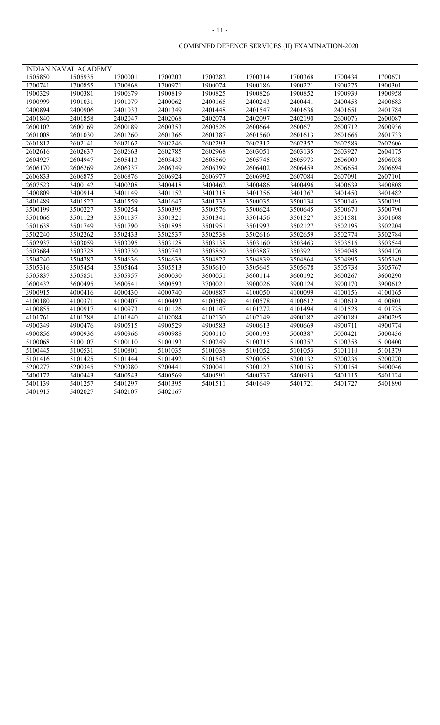|         | <b>INDIAN NAVAL ACADEMY</b> |         |         |         |         |         |         |         |
|---------|-----------------------------|---------|---------|---------|---------|---------|---------|---------|
| 1505850 | 1505935                     | 1700001 | 1700203 | 1700282 | 1700314 | 1700368 | 1700434 | 1700671 |
| 1700741 | 1700855                     | 1700868 | 1700971 | 1900074 | 1900186 | 1900221 | 1900275 | 1900301 |
| 1900329 | 1900381                     | 1900679 | 1900819 | 1900825 | 1900826 | 1900852 | 1900939 | 1900958 |
| 1900999 | 1901031                     | 1901079 | 2400062 | 2400165 | 2400243 | 2400441 | 2400458 | 2400683 |
| 2400894 | 2400906                     | 2401033 | 2401349 | 2401448 | 2401547 | 2401636 | 2401651 | 2401784 |
| 2401840 | 2401858                     | 2402047 | 2402068 | 2402074 | 2402097 | 2402190 | 2600076 | 2600087 |
| 2600102 | 2600169                     | 2600189 | 2600353 | 2600526 | 2600664 | 2600671 | 2600712 | 2600936 |
| 2601008 | 2601030                     | 2601260 | 2601366 | 2601387 | 2601560 | 2601613 | 2601666 | 2601733 |
| 2601812 | 2602141                     | 2602162 | 2602246 | 2602293 | 2602312 | 2602357 | 2602583 | 2602606 |
| 2602616 | 2602637                     | 2602663 | 2602785 | 2602968 | 2603051 | 2603135 | 2603927 | 2604175 |
| 2604927 | 2604947                     | 2605413 | 2605433 | 2605560 | 2605745 | 2605973 | 2606009 | 2606038 |
| 2606170 | 2606269                     | 2606337 | 2606349 | 2606399 | 2606402 | 2606459 | 2606654 | 2606694 |
| 2606833 | 2606875                     | 2606876 | 2606924 | 2606977 | 2606992 | 2607084 | 2607091 | 2607101 |
| 2607523 | 3400142                     | 3400208 | 3400418 | 3400462 | 3400486 | 3400496 | 3400639 | 3400808 |
| 3400809 | 3400914                     | 3401149 | 3401152 | 3401318 | 3401356 | 3401367 | 3401450 | 3401482 |
| 3401489 | 3401527                     | 3401559 | 3401647 | 3401733 | 3500035 | 3500134 | 3500146 | 3500191 |
| 3500199 | 3500227                     | 3500254 | 3500395 | 3500576 | 3500624 | 3500645 | 3500670 | 3500790 |
| 3501066 | 3501123                     | 3501137 | 3501321 | 3501341 | 3501456 | 3501527 | 3501581 | 3501608 |
| 3501638 | 3501749                     | 3501790 | 3501895 | 3501951 | 3501993 | 3502127 | 3502195 | 3502204 |
| 3502240 | 3502262                     | 3502433 | 3502537 | 3502538 | 3502616 | 3502659 | 3502774 | 3502784 |
| 3502937 | 3503059                     | 3503095 | 3503128 | 3503138 | 3503160 | 3503463 | 3503516 | 3503544 |
| 3503684 | 3503728                     | 3503730 | 3503743 | 3503850 | 3503887 | 3503921 | 3504048 | 3504176 |
| 3504240 | 3504287                     | 3504636 | 3504638 | 3504822 | 3504839 | 3504864 | 3504995 | 3505149 |
| 3505316 | 3505454                     | 3505464 | 3505513 | 3505610 | 3505645 | 3505678 | 3505738 | 3505767 |
| 3505837 | 3505851                     | 3505957 | 3600030 | 3600051 | 3600114 | 3600192 | 3600267 | 3600290 |
| 3600432 | 3600495                     | 3600541 | 3600593 | 3700021 | 3900026 | 3900124 | 3900170 | 3900612 |
| 3900915 | 4000416                     | 4000430 | 4000740 | 4000887 | 4100050 | 4100099 | 4100156 | 4100165 |
| 4100180 | 4100371                     | 4100407 | 4100493 | 4100509 | 4100578 | 4100612 | 4100619 | 4100801 |
| 4100855 | 4100917                     | 4100973 | 4101126 | 4101147 | 4101272 | 4101494 | 4101528 | 4101725 |
| 4101761 | 4101788                     | 4101840 | 4102084 | 4102130 | 4102149 | 4900182 | 4900189 | 4900295 |
| 4900349 | 4900476                     | 4900515 | 4900529 | 4900583 | 4900613 | 4900669 | 4900711 | 4900774 |
| 4900856 | 4900936                     | 4900966 | 4900988 | 5000110 | 5000193 | 5000387 | 5000421 | 5000436 |
| 5100068 | 5100107                     | 5100110 | 5100193 | 5100249 | 5100315 | 5100357 | 5100358 | 5100400 |
| 5100445 | 5100531                     | 5100801 | 5101035 | 5101038 | 5101052 | 5101053 | 5101110 | 5101379 |
| 5101416 | 5101425                     | 5101444 | 5101492 | 5101543 | 5200055 | 5200132 | 5200236 | 5200270 |
| 5200277 | 5200345                     | 5200380 | 5200441 | 5300041 | 5300123 | 5300153 | 5300154 | 5400046 |
| 5400172 | 5400443                     | 5400543 | 5400569 | 5400591 | 5400737 | 5400913 | 5401115 | 5401124 |
| 5401139 | 5401257                     | 5401297 | 5401395 | 5401511 | 5401649 | 5401721 | 5401727 | 5401890 |
| 5401915 | 5402027                     | 5402107 | 5402167 |         |         |         |         |         |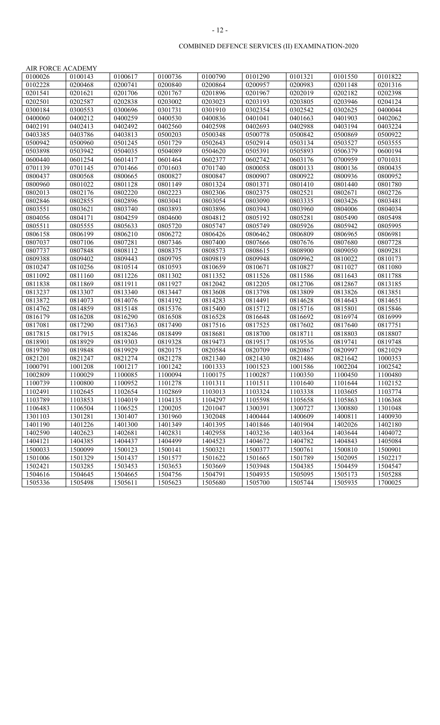|--|--|

| AIR FORCE ACADEMY |         |         |         |         |         |         |         |         |
|-------------------|---------|---------|---------|---------|---------|---------|---------|---------|
| 0100026           | 0100143 | 0100617 | 0100736 | 0100790 | 0101290 | 0101321 | 0101550 | 0101822 |
| 0102228           | 0200468 | 0200741 | 0200840 | 0200864 | 0200957 | 0200983 | 0201148 | 0201316 |
| 0201541           | 0201621 | 0201706 | 0201767 | 0201896 | 0201967 | 0202019 | 0202182 | 0202398 |
| 0202501           | 0202587 | 0202838 | 0203002 | 0203023 | 0203193 | 0203805 | 0203946 | 0204124 |
| 0300184           | 0300553 | 0300696 | 0301731 | 0301910 | 0302354 | 0302542 | 0302625 | 0400044 |
| 0400060           | 0400212 | 0400259 | 0400530 | 0400836 | 0401041 | 0401663 | 0401903 | 0402062 |
| 0402191           | 0402413 | 0402492 | 0402560 | 0402598 | 0402693 | 0402988 | 0403194 | 0403224 |
| 0403385           | 0403786 | 0403813 | 0500203 | 0500348 | 0500778 | 0500842 | 0500869 | 0500922 |
| 0500942           | 0500960 | 0501245 | 0501729 | 0502643 | 0502914 | 0503134 | 0503527 | 0503555 |
| 0503898           | 0503942 | 0504035 | 0504089 | 0504620 | 0505391 | 0505893 | 0506379 | 0600194 |
| 0600440           | 0601254 | 0601417 | 0601464 | 0602377 | 0602742 | 0603176 | 0700959 | 0701031 |
| 0701139           | 0701145 | 0701466 | 0701603 | 0701740 | 0800058 | 0800133 | 0800136 | 0800435 |
| 0800437           | 0800568 | 0800665 | 0800827 | 0800847 | 0800907 | 0800922 | 0800936 | 0800952 |
| 0800960           | 0801022 | 0801128 | 0801149 | 0801324 | 0801371 | 0801410 | 0801440 | 0801780 |
| 0802013           | 0802176 | 0802220 | 0802223 | 0802306 | 0802375 | 0802521 | 0802671 | 0802726 |
| 0802846           | 0802855 | 0802896 | 0803041 | 0803054 | 0803090 | 0803335 | 0803426 | 0803481 |
| 0803551           | 0803621 | 0803740 | 0803893 | 0803896 | 0803943 | 0803960 | 0804006 | 0804034 |
| 0804056           | 0804171 | 0804259 | 0804600 | 0804812 | 0805192 | 0805281 | 0805490 | 0805498 |
| 0805511           | 0805555 | 0805633 | 0805720 | 0805747 | 0805749 | 0805926 | 0805942 | 0805995 |
| 0806158           | 0806199 | 0806210 | 0806272 | 0806426 | 0806462 | 0806809 | 0806965 | 0806981 |
| 0807037           | 0807106 | 0807281 | 0807346 | 0807400 | 0807666 | 0807676 | 0807680 | 0807728 |
| 0807737           | 0807848 | 0808112 | 0808375 | 0808573 | 0808615 | 0808900 | 0809050 | 0809281 |
| 0809388           | 0809402 | 0809443 | 0809795 | 0809819 | 0809948 | 0809962 | 0810022 | 0810173 |
| 0810247           | 0810256 | 0810514 | 0810593 | 0810659 | 0810671 | 0810827 | 0811027 | 0811080 |
| 0811092           | 0811160 | 0811226 | 0811302 | 0811352 | 0811526 | 0811586 | 0811643 | 0811788 |
| 0811838           | 0811869 | 0811911 | 0811927 | 0812042 | 0812205 | 0812706 | 0812867 | 0813185 |
| 0813237           | 0813307 | 0813340 | 0813447 | 0813608 | 0813798 | 0813809 | 0813826 | 0813851 |
| 0813872           | 0814073 | 0814076 | 0814192 | 0814283 | 0814491 | 0814628 | 0814643 | 0814651 |
| 0814762           | 0814859 | 0815148 | 0815376 | 0815400 | 0815712 | 0815716 | 0815801 | 0815846 |
| 0816179           | 0816208 | 0816290 | 0816508 | 0816528 | 0816648 | 0816692 | 0816974 | 0816999 |
| 0817081           | 0817290 | 0817363 | 0817490 | 0817516 | 0817525 | 0817602 | 0817640 | 0817751 |
| 0817815           | 0817915 | 0818246 | 0818499 | 0818681 | 0818700 | 0818711 | 0818803 | 0818807 |
| 0818901           | 0818929 | 0819303 | 0819328 | 0819473 | 0819517 | 0819536 | 0819741 | 0819748 |
| 0819780           | 0819848 | 0819929 | 0820175 | 0820584 | 0820709 | 0820867 | 0820997 | 0821029 |
| 0821201           | 0821247 | 0821274 | 0821278 | 0821340 | 0821430 | 0821486 | 0821642 | 1000353 |
| 1000791           | 1001208 | 1001217 | 1001242 | 1001333 | 1001523 | 1001586 | 1002204 | 1002542 |
| 1002809           | 1100029 | 1100085 | 1100094 | 1100175 | 1100287 | 1100350 | 1100450 | 1100480 |
| 1100739           | 1100800 | 1100952 | 1101278 | 1101311 | 1101511 | 1101640 | 1101644 | 1102152 |
| 1102491           | 1102645 | 1102654 | 1102869 | 1103013 | 1103324 | 1103338 | 1103605 | 1103774 |
| 1103789           | 1103853 | 1104019 | 1104135 | 1104297 | 1105598 | 1105658 | 1105863 | 1106368 |
| 1106483           | 1106504 | 1106525 | 1200205 | 1201047 | 1300391 | 1300727 | 1300880 | 1301048 |
| 1301103           | 1301281 | 1301407 | 1301960 | 1302048 | 1400444 | 1400609 | 1400811 | 1400930 |
| 1401190           | 1401226 | 1401300 | 1401349 | 1401395 | 1401846 | 1401904 | 1402026 | 1402180 |
| 1402590           | 1402623 | 1402681 | 1402831 | 1402958 | 1403236 | 1403364 | 1403644 | 1404072 |
| 1404121           | 1404385 | 1404437 | 1404499 | 1404523 | 1404672 | 1404782 | 1404843 | 1405084 |
| 1500033           | 1500099 | 1500123 | 1500141 | 1500321 | 1500377 | 1500761 | 1500810 | 1500901 |
| 1501006           | 1501329 | 1501437 | 1501577 | 1501622 | 1501665 | 1501789 | 1502095 | 1502217 |
| 1502421           | 1503285 | 1503453 | 1503653 | 1503669 | 1503948 | 1504385 | 1504459 | 1504547 |
| 1504616           | 1504645 | 1504665 | 1504756 | 1504791 | 1504935 | 1505095 | 1505173 | 1505288 |
| 1505336           | 1505498 | 1505611 | 1505623 | 1505680 | 1505700 | 1505744 | 1505935 | 1700025 |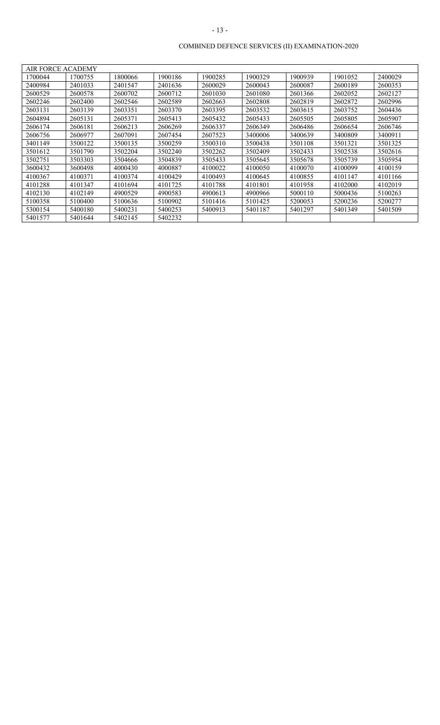| AIR FORCE ACADEMY |         |         |         |         |         |         |         |         |
|-------------------|---------|---------|---------|---------|---------|---------|---------|---------|
| 1700044           | 1700755 | 1800066 | 1900186 | 1900285 | 1900329 | 1900939 | 1901052 | 2400029 |
| 2400984           | 2401033 | 2401547 | 2401636 | 2600029 | 2600043 | 2600087 | 2600189 | 2600353 |
| 2600529           | 2600578 | 2600702 | 2600712 | 2601030 | 2601080 | 2601366 | 2602052 | 2602127 |
| 2602246           | 2602400 | 2602546 | 2602589 | 2602663 | 2602808 | 2602819 | 2602872 | 2602996 |
| 2603131           | 2603139 | 2603351 | 2603370 | 2603395 | 2603532 | 2603615 | 2603752 | 2604436 |
| 2604894           | 2605131 | 2605371 | 2605413 | 2605432 | 2605433 | 2605505 | 2605805 | 2605907 |
| 2606174           | 2606181 | 2606213 | 2606269 | 2606337 | 2606349 | 2606486 | 2606654 | 2606746 |
| 2606756           | 2606977 | 2607091 | 2607454 | 2607523 | 3400006 | 3400639 | 3400809 | 3400911 |
| 3401149           | 3500122 | 3500135 | 3500259 | 3500310 | 3500438 | 3501108 | 3501321 | 3501325 |
| 3501612           | 3501790 | 3502204 | 3502240 | 3502262 | 3502409 | 3502433 | 3502538 | 3502616 |
| 3502751           | 3503303 | 3504666 | 3504839 | 3505433 | 3505645 | 3505678 | 3505739 | 3505954 |
| 3600432           | 3600498 | 4000430 | 4000887 | 4100022 | 4100050 | 4100070 | 4100099 | 4100159 |
| 4100367           | 4100371 | 4100374 | 4100429 | 4100493 | 4100645 | 4100855 | 4101147 | 4101166 |
| 4101288           | 4101347 | 4101694 | 4101725 | 4101788 | 4101801 | 4101958 | 4102000 | 4102019 |
| 4102130           | 4102149 | 4900529 | 4900583 | 4900613 | 4900966 | 5000110 | 5000436 | 5100263 |
| 5100358           | 5100400 | 5100636 | 5100902 | 5101416 | 5101425 | 5200053 | 5200236 | 5200277 |
| 5300154           | 5400180 | 5400231 | 5400253 | 5400913 | 5401187 | 5401297 | 5401349 | 5401509 |
| 5401577           | 5401644 | 5402145 | 5402232 |         |         |         |         |         |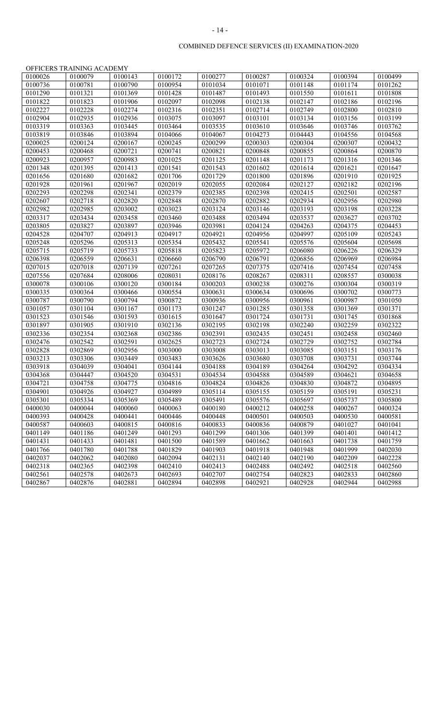|         | OFFICERS TRAINING ACADEMY |         |         |         |         |         |         |         |
|---------|---------------------------|---------|---------|---------|---------|---------|---------|---------|
| 0100026 | 0100079                   | 0100143 | 0100172 | 0100277 | 0100287 | 0100324 | 0100394 | 0100499 |
| 0100736 | 0100781                   | 0100790 | 0100954 | 0101034 | 0101071 | 0101148 | 0101174 | 0101262 |
| 0101290 | 0101321                   | 0101369 | 0101428 | 0101487 | 0101493 | 0101550 | 0101611 | 0101808 |
| 0101822 | 0101823                   | 0101906 | 0102097 | 0102098 | 0102138 | 0102147 | 0102186 | 0102196 |
| 0102227 | 0102228                   | 0102274 | 0102316 | 0102351 | 0102714 | 0102749 | 0102800 | 0102810 |
| 0102904 | 0102935                   | 0102936 | 0103075 | 0103097 | 0103101 | 0103134 | 0103156 | 0103199 |
| 0103319 | 0103363                   | 0103445 | 0103464 | 0103535 | 0103610 | 0103646 | 0103746 | 0103762 |
| 0103819 | 0103846                   | 0103894 | 0104066 | 0104067 | 0104273 | 0104443 | 0104556 | 0104568 |
| 0200025 | 0200124                   | 0200167 | 0200245 | 0200299 | 0200303 | 0200304 | 0200307 | 0200432 |
| 0200453 | 0200468                   | 0200721 | 0200741 | 0200821 | 0200848 | 0200855 | 0200864 | 0200870 |
| 0200923 | 0200957                   | 0200983 | 0201025 | 0201125 | 0201148 | 0201173 | 0201316 | 0201346 |
| 0201348 | 0201395                   | 0201413 | 0201541 | 0201543 | 0201602 | 0201614 | 0201621 | 0201647 |
| 0201656 | 0201680                   | 0201682 | 0201706 | 0201729 | 0201800 | 0201896 | 0201910 | 0201925 |
| 0201928 | 0201961                   | 0201967 | 0202019 | 0202055 | 0202084 | 0202127 | 0202182 | 0202196 |
| 0202293 | 0202298                   | 0202341 | 0202379 | 0202385 | 0202398 | 0202415 | 0202501 | 0202587 |
| 0202607 | 0202718                   | 0202820 | 0202848 | 0202870 | 0202882 | 0202934 | 0202956 | 0202980 |
| 0202982 | 0202985                   | 0203002 | 0203023 | 0203124 | 0203146 | 0203193 | 0203198 | 0203228 |
| 0203317 | 0203434                   | 0203458 | 0203460 | 0203488 | 0203494 | 0203537 | 0203627 | 0203702 |
| 0203805 | 0203827                   | 0203897 | 0203946 | 0203981 | 0204124 | 0204263 | 0204375 | 0204453 |
| 0204528 | 0204707                   | 0204913 | 0204917 | 0204921 | 0204956 | 0204997 | 0205109 | 0205243 |
| 0205248 | 0205296                   | 0205313 | 0205354 | 0205432 | 0205541 | 0205576 | 0205604 | 0205698 |
| 0205715 | 0205719                   | 0205733 | 0205818 | 0205823 | 0205972 | 0206080 | 0206226 | 0206329 |
| 0206398 | 0206559                   | 0206631 | 0206660 | 0206790 | 0206791 | 0206856 | 0206969 | 0206984 |
| 0207015 | 0207018                   | 0207139 | 0207261 | 0207265 | 0207375 | 0207416 | 0207454 | 0207458 |
| 0207556 | 0207684                   | 0208006 | 0208031 | 0208176 | 0208267 | 0208311 | 0208557 | 0300038 |
| 0300078 | 0300106                   | 0300120 | 0300184 | 0300203 | 0300238 | 0300276 | 0300304 | 0300319 |
| 0300335 | 0300364                   | 0300466 | 0300554 | 0300631 | 0300634 | 0300696 | 0300702 | 0300773 |
| 0300787 | 0300790                   | 0300794 | 0300872 | 0300936 | 0300956 | 0300961 | 0300987 | 0301050 |
| 0301057 | 0301104                   | 0301167 | 0301173 | 0301247 | 0301285 | 0301358 | 0301369 | 0301371 |
| 0301523 | 0301546                   | 0301593 | 0301615 | 0301647 | 0301724 | 0301731 | 0301745 | 0301868 |
| 0301897 | 0301905                   | 0301910 | 0302136 | 0302195 | 0302198 | 0302240 | 0302259 | 0302322 |
| 0302336 | 0302354                   | 0302368 | 0302386 | 0302391 | 0302435 | 0302451 | 0302458 | 0302460 |
| 0302476 | 0302542                   | 0302591 | 0302625 | 0302723 | 0302724 | 0302729 | 0302752 | 0302784 |
| 0302828 | 0302869                   | 0302956 | 0303000 | 0303008 | 0303013 | 0303085 | 0303151 | 0303176 |
| 0303213 | 0303306                   | 0303449 | 0303483 | 0303626 | 0303680 | 0303708 | 0303731 | 0303744 |
| 0303918 | 0304039                   | 0304041 | 0304144 | 0304188 | 0304189 | 0304264 | 0304292 | 0304334 |
| 0304368 | 0304447                   | 0304520 | 0304531 | 0304534 | 0304588 | 0304589 | 0304621 | 0304658 |
| 0304721 | 0304758                   | 0304775 | 0304816 | 0304824 | 0304826 | 0304830 | 0304872 | 0304895 |
| 0304901 | 0304926                   | 0304927 | 0304989 | 0305114 | 0305155 | 0305159 | 0305191 | 0305231 |
| 0305301 | 0305334                   | 0305369 | 0305489 | 0305491 | 0305576 | 0305697 | 0305737 | 0305800 |
| 0400030 | 0400044                   | 0400060 | 0400063 | 0400180 | 0400212 | 0400258 | 0400267 | 0400324 |
| 0400393 | 0400428                   | 0400441 | 0400446 | 0400448 | 0400501 | 0400503 | 0400530 | 0400581 |
| 0400587 | 0400603                   | 0400815 | 0400816 | 0400833 | 0400836 | 0400879 | 0401027 | 0401041 |
| 0401149 | 0401186                   | 0401249 | 0401293 | 0401299 | 0401306 | 0401399 | 0401401 | 0401412 |
| 0401431 | 0401433                   | 0401481 | 0401500 | 0401589 | 0401662 | 0401663 | 0401738 | 0401759 |
| 0401766 | 0401780                   | 0401788 | 0401829 | 0401903 | 0401918 | 0401948 | 0401999 | 0402030 |
| 0402037 | 0402062                   | 0402080 | 0402094 | 0402131 | 0402140 | 0402190 | 0402209 | 0402228 |
| 0402318 | 0402365                   | 0402398 | 0402410 | 0402413 | 0402488 | 0402492 | 0402518 | 0402560 |
| 0402561 | 0402578                   | 0402673 | 0402693 | 0402707 | 0402754 | 0402823 | 0402833 | 0402860 |
| 0402867 | 0402876                   | 0402881 | 0402894 | 0402898 | 0402921 | 0402928 | 0402944 | 0402988 |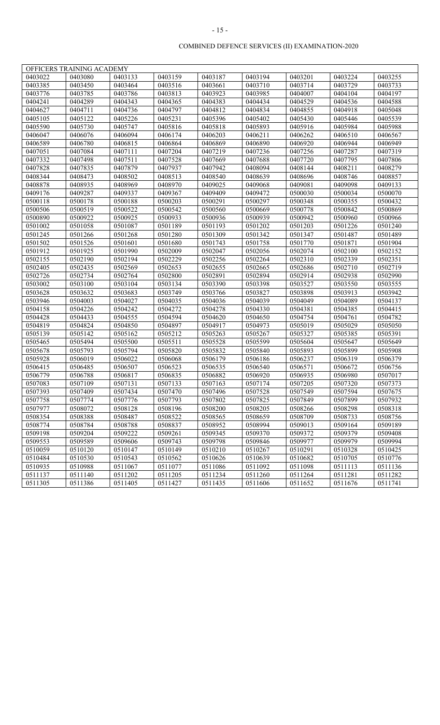|         | OFFICERS TRAINING ACADEMY |         |         |         |         |         |         |         |
|---------|---------------------------|---------|---------|---------|---------|---------|---------|---------|
| 0403022 | 0403080                   | 0403133 | 0403159 | 0403187 | 0403194 | 0403201 | 0403224 | 0403255 |
| 0403385 | 0403450                   | 0403464 | 0403516 | 0403661 | 0403710 | 0403714 | 0403729 | 0403733 |
| 0403776 | 0403785                   | 0403786 | 0403813 | 0403923 | 0403985 | 0404007 | 0404104 | 0404197 |
| 0404241 | 0404289                   | 0404343 | 0404365 | 0404383 | 0404434 | 0404529 | 0404536 | 0404588 |
| 0404627 | 0404711                   | 0404736 | 0404797 | 0404812 | 0404834 | 0404855 | 0404918 | 0405048 |
| 0405105 | 0405122                   | 0405226 | 0405231 | 0405396 | 0405402 | 0405430 | 0405446 | 0405539 |
| 0405590 | 0405730                   | 0405747 | 0405816 | 0405818 | 0405893 | 0405916 | 0405984 | 0405988 |
| 0406047 | 0406076                   | 0406094 | 0406174 | 0406203 | 0406211 | 0406262 | 0406510 | 0406567 |
| 0406589 | 0406780                   | 0406815 | 0406864 | 0406869 | 0406890 | 0406920 | 0406944 | 0406949 |
| 0407051 | 0407084                   | 0407111 | 0407204 | 0407219 | 0407236 | 0407256 | 0407287 | 0407319 |
| 0407332 | 0407498                   | 0407511 | 0407528 | 0407669 | 0407688 | 0407720 | 0407795 | 0407806 |
| 0407828 | 0407835                   | 0407879 | 0407937 | 0407942 | 0408094 | 0408144 | 0408211 | 0408279 |
| 0408344 | 0408473                   | 0408502 | 0408513 | 0408540 | 0408639 | 0408696 | 0408746 | 0408857 |
| 0408878 | 0408935                   | 0408969 | 0408970 | 0409025 | 0409068 | 0409081 | 0409098 | 0409133 |
| 0409176 | 0409287                   | 0409337 | 0409367 | 0409409 | 0409472 | 0500030 | 0500034 | 0500070 |
| 0500118 | 0500178                   | 0500188 | 0500203 | 0500291 | 0500297 | 0500348 | 0500355 | 0500432 |
| 0500506 | 0500519                   | 0500522 | 0500542 | 0500560 | 0500669 | 0500778 | 0500842 | 0500869 |
| 0500890 | 0500922                   | 0500925 | 0500933 | 0500936 | 0500939 | 0500942 | 0500960 | 0500966 |
| 0501002 | 0501058                   | 0501087 | 0501189 | 0501193 | 0501202 | 0501203 | 0501226 | 0501240 |
| 0501245 | 0501266                   | 0501268 | 0501280 | 0501309 | 0501342 | 0501347 | 0501487 | 0501489 |
| 0501502 | 0501526                   | 0501601 | 0501680 | 0501743 | 0501758 | 0501770 | 0501871 | 0501904 |
| 0501912 | 0501925                   | 0501990 | 0502009 | 0502047 | 0502056 | 0502074 | 0502100 | 0502152 |
| 0502155 | 0502190                   | 0502194 | 0502229 | 0502256 | 0502264 | 0502310 | 0502339 | 0502351 |
| 0502405 | 0502435                   | 0502569 | 0502653 | 0502655 | 0502665 | 0502686 | 0502710 | 0502719 |
| 0502726 | 0502734                   | 0502764 | 0502800 | 0502891 | 0502894 | 0502914 | 0502938 | 0502990 |
| 0503002 | 0503100                   | 0503104 | 0503134 | 0503390 | 0503398 | 0503527 | 0503550 | 0503555 |
| 0503628 | 0503632                   | 0503683 | 0503749 | 0503766 | 0503827 | 0503898 | 0503913 | 0503942 |
| 0503946 | 0504003                   | 0504027 | 0504035 | 0504036 | 0504039 | 0504049 | 0504089 | 0504137 |
| 0504158 | 0504226                   | 0504242 | 0504272 | 0504278 | 0504330 | 0504381 | 0504385 | 0504415 |
| 0504428 | 0504433                   | 0504555 | 0504594 | 0504620 | 0504650 | 0504754 | 0504761 | 0504782 |
| 0504819 | 0504824                   | 0504850 | 0504897 | 0504917 | 0504973 | 0505019 | 0505029 | 0505050 |
| 0505139 | 0505142                   | 0505162 | 0505212 | 0505263 | 0505267 | 0505327 | 0505385 | 0505391 |
| 0505465 | 0505494                   | 0505500 | 0505511 | 0505528 | 0505599 | 0505604 | 0505647 | 0505649 |
| 0505678 | 0505793                   | 0505794 | 0505820 | 0505832 | 0505840 | 0505893 | 0505899 | 0505908 |
| 0505928 | 0506019                   | 0506022 | 0506068 | 0506179 | 0506186 | 0506237 | 0506319 | 0506379 |
| 0506415 | 0506485                   | 0506507 | 0506523 | 0506535 | 0506540 | 0506571 | 0506672 | 0506756 |
| 0506779 | 0506788                   | 0506817 | 0506835 | 0506882 | 0506920 | 0506935 | 0506980 | 0507017 |
| 0507083 | 0507109                   | 0507131 | 0507133 | 0507163 | 0507174 | 0507205 | 0507320 | 0507373 |
| 0507393 | 0507409                   | 0507434 | 0507470 | 0507496 | 0507528 | 0507549 | 0507594 | 0507675 |
| 0507758 | 0507774                   | 0507776 | 0507793 | 0507802 | 0507825 | 0507849 | 0507899 | 0507932 |
| 0507977 | 0508072                   | 0508128 | 0508196 | 0508200 | 0508205 | 0508266 | 0508298 | 0508318 |
| 0508354 | 0508388                   | 0508487 | 0508522 | 0508565 | 0508659 | 0508709 | 0508733 | 0508756 |
| 0508774 | 0508784                   | 0508788 | 0508837 | 0508952 | 0508994 | 0509013 | 0509164 | 0509189 |
| 0509198 | 0509204                   | 0509222 | 0509261 | 0509345 | 0509370 | 0509372 | 0509379 | 0509408 |
| 0509553 | 0509589                   | 0509606 | 0509743 | 0509798 | 0509846 | 0509977 | 0509979 | 0509994 |
| 0510059 | 0510120                   | 0510147 | 0510149 | 0510210 | 0510267 | 0510291 | 0510328 | 0510425 |
| 0510484 | 0510530                   | 0510543 | 0510562 | 0510626 | 0510639 | 0510682 | 0510705 | 0510776 |
| 0510935 | 0510988                   | 0511067 | 0511077 | 0511086 | 0511092 | 0511098 | 0511113 | 0511136 |
| 0511137 | 0511140                   | 0511202 | 0511205 | 0511234 | 0511260 | 0511264 | 0511281 | 0511282 |
| 0511305 | 0511386                   | 0511405 | 0511427 | 0511435 | 0511606 | 0511652 | 0511676 | 0511741 |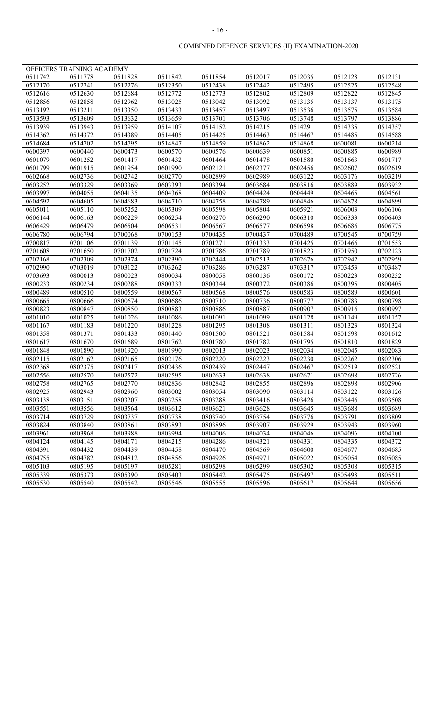|         | OFFICERS TRAINING ACADEMY |         |         |         |         |         |         |         |
|---------|---------------------------|---------|---------|---------|---------|---------|---------|---------|
| 0511742 | 0511778                   | 0511828 | 0511842 | 0511854 | 0512017 | 0512035 | 0512128 | 0512131 |
| 0512170 | 0512241                   | 0512276 | 0512350 | 0512438 | 0512442 | 0512495 | 0512525 | 0512548 |
| 0512616 | 0512630                   | 0512684 | 0512772 | 0512773 | 0512802 | 0512809 | 0512822 | 0512845 |
| 0512856 | 0512858                   | 0512962 | 0513025 | 0513042 | 0513092 | 0513135 | 0513137 | 0513175 |
| 0513192 | 0513211                   | 0513350 | 0513433 | 0513457 | 0513497 | 0513536 | 0513575 | 0513584 |
| 0513593 | 0513609                   | 0513632 | 0513659 | 0513701 | 0513706 | 0513748 | 0513797 | 0513886 |
| 0513939 | 0513943                   | 0513959 | 0514107 | 0514152 | 0514215 | 0514291 | 0514335 | 0514357 |
| 0514362 | 0514372                   | 0514389 | 0514405 | 0514425 | 0514463 | 0514467 | 0514485 | 0514588 |
| 0514684 | 0514702                   | 0514795 | 0514847 | 0514859 | 0514862 | 0514868 | 0600081 | 0600214 |
| 0600397 | 0600440                   | 0600473 | 0600570 | 0600576 | 0600639 | 0600851 | 0600885 | 0600989 |
| 0601079 | 0601252                   | 0601417 | 0601432 | 0601464 | 0601478 | 0601580 | 0601663 | 0601717 |
| 0601799 | 0601915                   | 0601954 | 0601990 | 0602121 | 0602377 | 0602456 | 0602607 | 0602619 |
| 0602668 | 0602736                   | 0602742 | 0602770 | 0602899 | 0602989 | 0603122 | 0603176 | 0603219 |
| 0603252 | 0603329                   | 0603369 | 0603393 | 0603394 | 0603684 | 0603816 | 0603889 | 0603932 |
| 0603997 | 0604055                   | 0604135 | 0604368 | 0604409 | 0604424 | 0604449 | 0604465 | 0604561 |
| 0604592 | 0604605                   | 0604683 | 0604710 | 0604758 | 0604789 | 0604846 | 0604878 | 0604899 |
| 0605011 | 0605110                   | 0605252 | 0605309 | 0605598 | 0605804 | 0605921 | 0606003 | 0606106 |
| 0606144 | 0606163                   | 0606229 | 0606254 | 0606270 | 0606290 | 0606310 | 0606333 | 0606403 |
| 0606429 | 0606479                   | 0606504 | 0606531 | 0606567 | 0606577 | 0606598 | 0606686 | 0606775 |
| 0606780 | 0606794                   | 0700068 | 0700153 | 0700435 | 0700437 | 0700489 | 0700545 | 0700759 |
| 0700817 | 0701106                   | 0701139 | 0701145 | 0701271 | 0701333 | 0701425 | 0701466 | 0701553 |
| 0701608 | 0701650                   | 0701702 | 0701724 | 0701786 | 0701789 | 0701823 | 0701950 | 0702123 |
| 0702168 | 0702309                   | 0702374 | 0702390 | 0702444 | 0702513 | 0702676 | 0702942 | 0702959 |
| 0702990 | 0703019                   | 0703122 | 0703262 | 0703286 | 0703287 | 0703317 | 0703453 | 0703487 |
| 0703693 | 0800013                   | 0800023 | 0800034 | 0800058 | 0800136 | 0800172 | 0800223 | 0800232 |
| 0800233 | 0800234                   | 0800288 | 0800333 | 0800344 | 0800372 | 0800386 | 0800395 | 0800405 |
| 0800489 | 0800510                   | 0800559 | 0800567 | 0800568 | 0800576 | 0800583 | 0800589 | 0800601 |
| 0800665 | 0800666                   | 0800674 | 0800686 | 0800710 | 0800736 | 0800777 | 0800783 | 0800798 |
| 0800823 | 0800847                   | 0800850 | 0800883 | 0800886 | 0800887 | 0800907 | 0800916 | 0800997 |
| 0801010 | 0801025                   | 0801026 | 0801086 | 0801091 | 0801099 | 0801128 | 0801149 | 0801157 |
| 0801167 | 0801183                   | 0801220 | 0801228 | 0801295 | 0801308 | 0801311 | 0801323 | 0801324 |
| 0801358 | 0801371                   | 0801433 | 0801440 | 0801500 | 0801521 | 0801584 | 0801598 | 0801612 |
| 0801617 | 0801670                   | 0801689 | 0801762 | 0801780 | 0801782 | 0801795 | 0801810 | 0801829 |
| 0801848 | 0801890                   | 0801920 | 0801990 | 0802013 | 0802023 | 0802034 | 0802045 | 0802083 |
| 0802115 | 0802162                   | 0802165 | 0802176 | 0802220 | 0802223 | 0802230 | 0802262 | 0802306 |
| 0802368 | 0802375                   | 0802417 | 0802436 | 0802439 | 0802447 | 0802467 | 0802519 | 0802521 |
| 0802556 | 0802570                   | 0802572 | 0802595 | 0802633 | 0802638 | 0802671 | 0802698 | 0802726 |
| 0802758 | 0802765                   | 0802770 | 0802836 | 0802842 | 0802855 | 0802896 | 0802898 | 0802906 |
| 0802925 | 0802943                   | 0802960 | 0803002 | 0803054 | 0803090 | 0803114 | 0803122 | 0803126 |
| 0803138 | 0803151                   | 0803207 | 0803258 | 0803288 | 0803416 | 0803426 | 0803446 | 0803508 |
| 0803551 | 0803556                   | 0803564 | 0803612 | 0803621 | 0803628 | 0803645 | 0803688 | 0803689 |
| 0803714 | 0803729                   | 0803737 | 0803738 | 0803740 | 0803754 | 0803776 | 0803791 | 0803809 |
| 0803824 | 0803840                   | 0803861 | 0803893 | 0803896 | 0803907 | 0803929 | 0803943 | 0803960 |
| 0803961 | 0803968                   | 0803988 | 0803994 | 0804006 | 0804034 | 0804046 | 0804096 | 0804100 |
| 0804124 | 0804145                   | 0804171 | 0804215 | 0804286 | 0804321 | 0804331 | 0804335 | 0804372 |
| 0804391 | 0804432                   | 0804439 | 0804458 | 0804470 | 0804569 | 0804600 | 0804677 | 0804685 |
| 0804755 | 0804782                   | 0804812 | 0804856 | 0804926 | 0804971 | 0805022 | 0805054 | 0805085 |
| 0805103 | 0805195                   | 0805197 | 0805281 | 0805298 | 0805299 | 0805302 | 0805308 | 0805315 |
| 0805339 | 0805373                   | 0805390 | 0805403 | 0805442 | 0805475 | 0805497 | 0805498 | 0805511 |
| 0805530 | 0805540                   | 0805542 | 0805546 | 0805555 | 0805596 | 0805617 | 0805644 | 0805656 |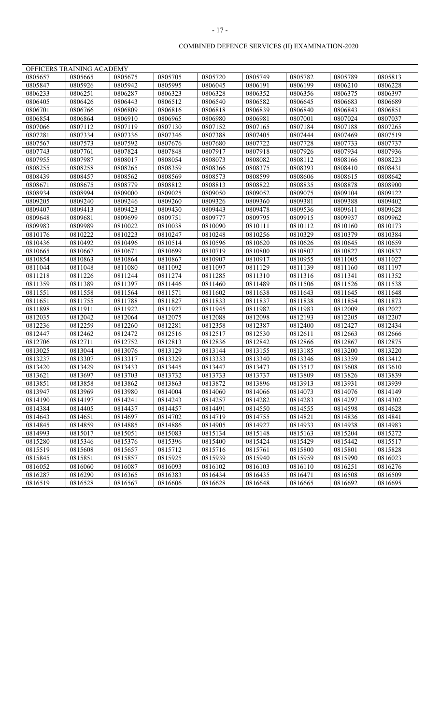|         | OFFICERS TRAINING ACADEMY |         |         |         |         |         |         |         |
|---------|---------------------------|---------|---------|---------|---------|---------|---------|---------|
| 0805657 | 0805665                   | 0805675 | 0805705 | 0805720 | 0805749 | 0805782 | 0805789 | 0805813 |
| 0805847 | 0805926                   | 0805942 | 0805995 | 0806045 | 0806191 | 0806199 | 0806210 | 0806228 |
| 0806233 | 0806251                   | 0806287 | 0806323 | 0806328 | 0806352 | 0806356 | 0806375 | 0806397 |
| 0806405 | 0806426                   | 0806443 | 0806512 | 0806540 | 0806582 | 0806645 | 0806683 | 0806689 |
| 0806701 | 0806766                   | 0806809 | 0806816 | 0806818 | 0806839 | 0806840 | 0806843 | 0806851 |
| 0806854 | 0806864                   | 0806910 | 0806965 | 0806980 | 0806981 | 0807001 | 0807024 | 0807037 |
| 0807066 | 0807112                   | 0807119 | 0807130 | 0807152 | 0807165 | 0807184 | 0807188 | 0807265 |
| 0807281 | 0807334                   | 0807336 | 0807346 | 0807388 | 0807405 | 0807444 | 0807469 | 0807519 |
| 0807567 | 0807573                   | 0807592 | 0807676 | 0807680 | 0807722 | 0807728 | 0807733 | 0807737 |
| 0807743 | 0807761                   | 0807824 | 0807848 | 0807917 | 0807918 | 0807926 | 0807934 | 0807936 |
| 0807955 | 0807987                   | 0808017 | 0808054 | 0808073 | 0808082 | 0808112 | 0808166 | 0808223 |
| 0808255 | 0808258                   | 0808265 | 0808359 | 0808366 | 0808375 | 0808393 | 0808410 | 0808431 |
| 0808439 | 0808457                   | 0808562 | 0808569 | 0808573 | 0808599 | 0808606 | 0808615 | 0808642 |
| 0808671 | 0808675                   | 0808779 | 0808812 | 0808813 | 0808822 | 0808835 | 0808878 | 0808900 |
| 0808934 | 0808994                   | 0809000 | 0809025 | 0809050 | 0809052 | 0809075 | 0809104 | 0809122 |
| 0809205 | 0809240                   | 0809246 | 0809260 | 0809326 | 0809360 | 0809381 | 0809388 | 0809402 |
| 0809407 | 0809413                   | 0809423 | 0809430 | 0809443 | 0809478 | 0809536 | 0809611 | 0809628 |
| 0809648 | 0809681                   | 0809699 | 0809751 | 0809777 | 0809795 | 0809915 | 0809937 | 0809962 |
| 0809983 | 0809989                   | 0810022 | 0810038 | 0810090 | 0810111 | 0810112 | 0810160 | 0810173 |
| 0810176 | 0810222                   | 0810223 | 0810247 | 0810248 | 0810256 | 0810329 | 0810379 | 0810384 |
| 0810436 | 0810492                   | 0810496 | 0810514 | 0810596 | 0810620 | 0810626 | 0810645 | 0810659 |
| 0810665 | 0810667                   | 0810671 | 0810699 | 0810719 | 0810800 | 0810807 | 0810827 | 0810837 |
| 0810854 | 0810863                   | 0810864 | 0810867 | 0810907 | 0810917 | 0810955 | 0811005 | 0811027 |
| 0811044 | 0811048                   | 0811080 | 0811092 | 0811097 | 0811129 | 0811139 | 0811160 | 0811197 |
| 0811218 | 0811226                   | 0811244 | 0811274 | 0811285 | 0811310 | 0811316 | 0811341 | 0811352 |
| 0811359 | 0811389                   | 0811397 | 0811446 | 0811460 | 0811489 | 0811506 | 0811526 | 0811538 |
| 0811551 | 0811558                   | 0811564 | 0811571 | 0811602 | 0811638 | 0811643 | 0811645 | 0811648 |
| 0811651 | 0811755                   | 0811788 | 0811827 | 0811833 | 0811837 | 0811838 | 0811854 | 0811873 |
| 0811898 | 0811911                   | 0811922 | 0811927 | 0811945 | 0811982 | 0811983 | 0812009 | 0812027 |
| 0812035 | 0812042                   | 0812064 | 0812075 | 0812088 | 0812098 | 0812193 | 0812205 | 0812207 |
| 0812236 | 0812259                   | 0812260 | 0812281 | 0812358 | 0812387 | 0812400 | 0812427 | 0812434 |
| 0812447 | 0812462                   | 0812472 | 0812516 | 0812517 | 0812530 | 0812611 | 0812663 | 0812666 |
| 0812706 | 0812711                   | 0812752 | 0812813 | 0812836 | 0812842 | 0812866 | 0812867 | 0812875 |
| 0813025 | 0813044                   | 0813076 | 0813129 | 0813144 | 0813155 | 0813185 | 0813200 | 0813220 |
| 0813237 | 0813307                   | 0813317 | 0813329 | 0813333 | 0813340 | 0813346 | 0813359 | 0813412 |
| 0813420 | 0813429                   | 0813433 | 0813445 | 0813447 | 0813473 | 0813517 | 0813608 | 0813610 |
| 0813621 | 0813697                   | 0813703 | 0813732 | 0813733 | 0813737 | 0813809 | 0813826 | 0813839 |
| 0813851 | 0813858                   | 0813862 | 0813863 | 0813872 | 0813896 | 0813913 | 0813931 | 0813939 |
| 0813947 | 0813969                   | 0813980 | 0814004 | 0814060 | 0814066 | 0814073 | 0814076 | 0814149 |
| 0814190 | 0814197                   | 0814241 | 0814243 | 0814257 | 0814282 | 0814283 | 0814297 | 0814302 |
| 0814384 | 0814405                   | 0814437 | 0814457 | 0814491 | 0814550 | 0814555 | 0814598 | 0814628 |
| 0814643 | 0814651                   | 0814697 | 0814702 | 0814719 | 0814755 | 0814821 | 0814836 | 0814841 |
| 0814845 | 0814859                   | 0814885 | 0814886 | 0814905 | 0814927 | 0814933 | 0814938 | 0814983 |
| 0814993 | 0815017                   | 0815051 | 0815083 | 0815134 | 0815148 | 0815163 | 0815204 | 0815272 |
| 0815280 | 0815346                   | 0815376 | 0815396 | 0815400 | 0815424 | 0815429 | 0815442 | 0815517 |
| 0815519 | 0815608                   | 0815657 | 0815712 | 0815716 | 0815761 | 0815800 | 0815801 | 0815828 |
| 0815845 | 0815851                   | 0815857 | 0815925 | 0815939 | 0815940 | 0815959 | 0815990 | 0816023 |
| 0816052 | 0816060                   | 0816087 | 0816093 | 0816102 | 0816103 | 0816110 | 0816251 | 0816276 |
| 0816287 | 0816290                   | 0816365 | 0816383 | 0816434 | 0816435 | 0816471 | 0816508 | 0816509 |
| 0816519 | 0816528                   | 0816567 | 0816606 | 0816628 | 0816648 | 0816665 | 0816692 | 0816695 |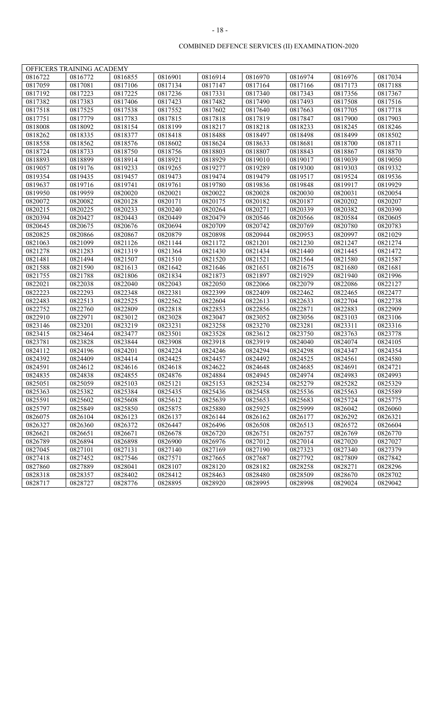|         | OFFICERS TRAINING ACADEMY |         |         |         |         |         |         |         |
|---------|---------------------------|---------|---------|---------|---------|---------|---------|---------|
| 0816722 | 0816772                   | 0816855 | 0816901 | 0816914 | 0816970 | 0816974 | 0816976 | 0817034 |
| 0817059 | 0817081                   | 0817106 | 0817134 | 0817147 | 0817164 | 0817166 | 0817173 | 0817188 |
| 0817192 | 0817223                   | 0817225 | 0817236 | 0817331 | 0817340 | 0817343 | 0817356 | 0817367 |
| 0817382 | 0817383                   | 0817406 | 0817423 | 0817482 | 0817490 | 0817493 | 0817508 | 0817516 |
| 0817518 | 0817525                   | 0817538 | 0817552 | 0817602 | 0817640 | 0817663 | 0817705 | 0817718 |
| 0817751 | 0817779                   | 0817783 | 0817815 | 0817818 | 0817819 | 0817847 | 0817900 | 0817903 |
| 0818008 | 0818092                   | 0818154 | 0818199 | 0818217 | 0818218 | 0818233 | 0818245 | 0818246 |
| 0818262 | 0818335                   | 0818377 | 0818418 | 0818488 | 0818497 | 0818498 | 0818499 | 0818502 |
| 0818558 | 0818562                   | 0818576 | 0818602 | 0818624 | 0818633 | 0818681 | 0818700 | 0818711 |
| 0818724 | 0818733                   | 0818750 | 0818756 | 0818803 | 0818807 | 0818843 | 0818867 | 0818870 |
| 0818893 | 0818899                   | 0818914 | 0818921 | 0818929 | 0819010 | 0819017 | 0819039 | 0819050 |
| 0819057 | 0819176                   | 0819233 | 0819265 | 0819277 | 0819289 | 0819300 | 0819303 | 0819332 |
| 0819354 | 0819435                   | 0819457 | 0819473 | 0819474 | 0819479 | 0819517 | 0819524 | 0819536 |
| 0819637 | 0819716                   | 0819741 | 0819761 | 0819780 | 0819836 | 0819848 | 0819917 | 0819929 |
| 0819950 | 0819959                   | 0820020 | 0820021 | 0820022 | 0820028 | 0820030 | 0820031 | 0820054 |
| 0820072 | 0820082                   | 0820128 | 0820171 | 0820175 | 0820182 | 0820187 | 0820202 | 0820207 |
| 0820215 | 0820225                   | 0820233 | 0820240 | 0820264 | 0820271 | 0820339 | 0820382 | 0820390 |
| 0820394 | 0820427                   | 0820443 | 0820449 | 0820479 | 0820546 | 0820566 | 0820584 | 0820605 |
| 0820645 | 0820675                   | 0820676 | 0820694 | 0820709 | 0820742 | 0820769 | 0820780 | 0820783 |
| 0820825 | 0820866                   | 0820867 | 0820879 | 0820898 | 0820944 | 0820953 | 0820997 | 0821029 |
| 0821063 | 0821099                   | 0821126 | 0821144 | 0821172 | 0821201 | 0821230 | 0821247 | 0821274 |
| 0821278 | 0821283                   | 0821319 | 0821364 | 0821430 | 0821434 | 0821440 | 0821445 | 0821472 |
| 0821481 | 0821494                   | 0821507 | 0821510 | 0821520 | 0821521 | 0821564 | 0821580 | 0821587 |
| 0821588 | 0821590                   | 0821613 | 0821642 | 0821646 | 0821651 | 0821675 | 0821680 | 0821681 |
| 0821755 | 0821788                   | 0821806 | 0821834 | 0821873 | 0821897 | 0821929 | 0821940 | 0821996 |
| 0822021 | 0822038                   | 0822040 | 0822043 | 0822050 | 0822066 | 0822079 | 0822086 | 0822127 |
| 0822223 | 0822293                   | 0822348 | 0822381 | 0822399 | 0822409 | 0822462 | 0822465 | 0822477 |
| 0822483 | 0822513                   | 0822525 | 0822562 | 0822604 | 0822613 | 0822633 | 0822704 | 0822738 |
| 0822752 | 0822760                   | 0822809 | 0822818 | 0822853 | 0822856 | 0822871 | 0822883 | 0822909 |
| 0822910 | 0822971                   | 0823012 | 0823028 | 0823047 | 0823052 | 0823056 | 0823103 | 0823106 |
| 0823146 | 0823201                   | 0823219 | 0823231 | 0823258 | 0823270 | 0823281 | 0823311 | 0823316 |
| 0823415 | 0823464                   | 0823477 | 0823501 | 0823528 | 0823612 | 0823750 | 0823763 | 0823778 |
| 0823781 | 0823828                   | 0823844 | 0823908 | 0823918 | 0823919 | 0824040 | 0824074 | 0824105 |
| 0824112 | 0824196                   | 0824201 | 0824224 | 0824246 | 0824294 | 0824298 | 0824347 | 0824354 |
| 0824392 | 0824409                   | 0824414 | 0824425 | 0824457 | 0824492 | 0824525 | 0824561 | 0824580 |
| 0824591 | 0824612                   | 0824616 | 0824618 | 0824622 | 0824648 | 0824685 | 0824691 | 0824721 |
| 0824835 | 0824838                   | 0824855 | 0824876 | 0824884 | 0824945 | 0824974 | 0824983 | 0824993 |
| 0825051 | 0825059                   | 0825103 | 0825121 | 0825153 | 0825234 | 0825279 | 0825282 | 0825329 |
| 0825363 | 0825382                   | 0825384 | 0825435 | 0825436 | 0825458 | 0825536 | 0825563 | 0825589 |
| 0825591 | 0825602                   | 0825608 | 0825612 | 0825639 | 0825653 | 0825683 | 0825724 | 0825775 |
| 0825797 | 0825849                   | 0825850 | 0825875 | 0825880 | 0825925 | 0825999 | 0826042 | 0826060 |
| 0826075 | 0826104                   | 0826123 | 0826137 | 0826144 | 0826162 | 0826177 | 0826292 | 0826321 |
| 0826327 | 0826360                   | 0826372 | 0826447 | 0826496 | 0826508 | 0826513 | 0826572 | 0826604 |
| 0826621 | 0826651                   | 0826671 | 0826678 | 0826720 | 0826751 | 0826757 | 0826769 | 0826770 |
| 0826789 | 0826894                   | 0826898 | 0826900 | 0826976 | 0827012 | 0827014 | 0827020 | 0827027 |
| 0827045 | 0827101                   | 0827131 | 0827140 | 0827169 | 0827190 | 0827323 | 0827340 | 0827379 |
| 0827418 | 0827452                   | 0827546 | 0827571 | 0827665 | 0827687 | 0827792 | 0827809 | 0827842 |
| 0827860 | 0827889                   | 0828041 | 0828107 | 0828120 | 0828182 | 0828258 | 0828271 | 0828296 |
| 0828318 | 0828357                   | 0828402 | 0828412 | 0828463 | 0828480 | 0828509 | 0828670 | 0828702 |
| 0828717 | 0828727                   | 0828776 | 0828895 | 0828920 | 0828995 | 0828998 | 0829024 | 0829042 |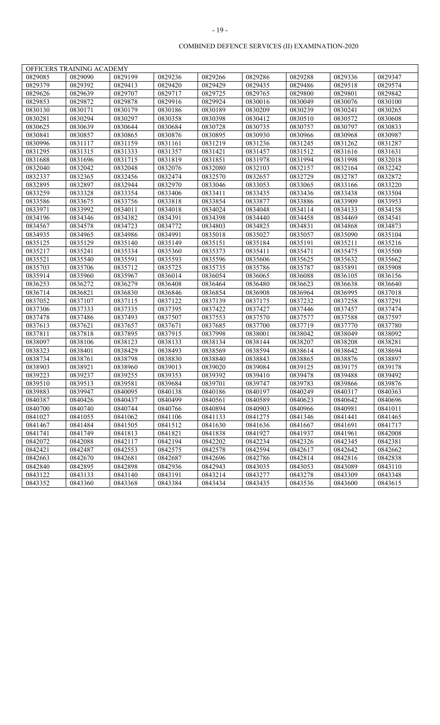| 0829236<br>0829288<br>0829085<br>0829090<br>0829199<br>0829266<br>0829286<br>0829336<br>0829347<br>0829379<br>0829392<br>0829413<br>0829420<br>0829429<br>0829435<br>0829486<br>0829518<br>0829574<br>0829626<br>0829639<br>0829707<br>0829717<br>0829725<br>0829765<br>0829800<br>0829801<br>0829842<br>0829853<br>0829878<br>0830049<br>0829872<br>0829916<br>0829924<br>0830016<br>0830076<br>0830100 |  |
|----------------------------------------------------------------------------------------------------------------------------------------------------------------------------------------------------------------------------------------------------------------------------------------------------------------------------------------------------------------------------------------------------------|--|
|                                                                                                                                                                                                                                                                                                                                                                                                          |  |
|                                                                                                                                                                                                                                                                                                                                                                                                          |  |
|                                                                                                                                                                                                                                                                                                                                                                                                          |  |
|                                                                                                                                                                                                                                                                                                                                                                                                          |  |
| 0830130<br>0830179<br>0830186<br>0830189<br>0830209<br>0830239<br>0830265<br>0830171<br>0830241                                                                                                                                                                                                                                                                                                          |  |
| 0830281<br>0830297<br>0830358<br>0830398<br>0830412<br>0830510<br>0830294<br>0830572<br>0830608                                                                                                                                                                                                                                                                                                          |  |
| 0830684<br>0830833<br>0830625<br>0830639<br>0830644<br>0830728<br>0830735<br>0830757<br>0830797                                                                                                                                                                                                                                                                                                          |  |
| 0830841<br>0830876<br>0830895<br>0830930<br>0830966<br>0830987<br>0830857<br>0830865<br>0830968                                                                                                                                                                                                                                                                                                          |  |
| 0831219<br>0831236<br>0831245<br>0830996<br>0831117<br>0831159<br>0831161<br>0831262<br>0831287                                                                                                                                                                                                                                                                                                          |  |
| 0831295<br>0831315<br>0831333<br>0831357<br>0831421<br>0831457<br>0831512<br>0831616<br>0831631                                                                                                                                                                                                                                                                                                          |  |
| 0831688<br>0831696<br>0831715<br>0831819<br>0831851<br>0831978<br>0831994<br>0831998<br>0832018                                                                                                                                                                                                                                                                                                          |  |
| 0832076<br>0832080<br>0832103<br>0832157<br>0832242<br>0832040<br>0832042<br>0832048<br>0832164                                                                                                                                                                                                                                                                                                          |  |
| 0832570<br>0832337<br>0832365<br>0832456<br>0832474<br>0832657<br>0832729<br>0832787<br>0832872                                                                                                                                                                                                                                                                                                          |  |
| 0832895<br>0832897<br>0832944<br>0832970<br>0833046<br>0833065<br>0833220<br>0833053<br>0833166                                                                                                                                                                                                                                                                                                          |  |
| 0833259<br>0833328<br>0833354<br>0833406<br>0833411<br>0833435<br>0833436<br>0833438<br>0833504                                                                                                                                                                                                                                                                                                          |  |
| 0833818<br>0833877<br>0833886<br>0833586<br>0833675<br>0833756<br>0833854<br>0833909<br>0833953                                                                                                                                                                                                                                                                                                          |  |
| 0833971<br>0833992<br>0834011<br>0834048<br>0834114<br>0834158<br>0834018<br>0834024<br>0834133                                                                                                                                                                                                                                                                                                          |  |
| 0834196<br>0834382<br>0834391<br>0834440<br>0834458<br>0834541<br>0834346<br>0834398<br>0834469                                                                                                                                                                                                                                                                                                          |  |
| 0834723<br>0834772<br>0834803<br>0834825<br>0834831<br>0834873<br>0834567<br>0834578<br>0834868                                                                                                                                                                                                                                                                                                          |  |
| 0834991<br>0835018<br>0835057<br>0835104<br>0834935<br>0834965<br>0834986<br>0835027<br>0835090                                                                                                                                                                                                                                                                                                          |  |
| 0835125<br>0835129<br>0835140<br>0835149<br>0835151<br>0835184<br>0835191<br>0835211<br>0835216                                                                                                                                                                                                                                                                                                          |  |
| 0835217<br>0835241<br>0835334<br>0835373<br>0835360<br>0835411<br>0835471<br>0835475<br>0835500                                                                                                                                                                                                                                                                                                          |  |
| 0835593<br>0835521<br>0835540<br>0835591<br>0835596<br>0835606<br>0835625<br>0835632<br>0835662                                                                                                                                                                                                                                                                                                          |  |
| 0835703<br>0835706<br>0835712<br>0835725<br>0835735<br>0835786<br>0835787<br>0835891<br>0835908                                                                                                                                                                                                                                                                                                          |  |
| 0836014<br>0836054<br>0835914<br>0835960<br>0835967<br>0836065<br>0836088<br>0836105<br>0836156                                                                                                                                                                                                                                                                                                          |  |
| 0836279<br>0836408<br>0836253<br>0836272<br>0836464<br>0836480<br>0836623<br>0836638<br>0836640                                                                                                                                                                                                                                                                                                          |  |
| 0836846<br>0836854<br>0836908<br>0836964<br>0836714<br>0836821<br>0836830<br>0836995<br>0837018                                                                                                                                                                                                                                                                                                          |  |
| 0837052<br>0837107<br>0837115<br>0837122<br>0837139<br>0837175<br>0837232<br>0837291<br>0837258                                                                                                                                                                                                                                                                                                          |  |
| 0837306<br>0837333<br>0837335<br>0837395<br>0837422<br>0837427<br>0837446<br>0837457<br>0837474                                                                                                                                                                                                                                                                                                          |  |
| 0837553<br>0837570<br>0837478<br>0837486<br>0837493<br>0837507<br>0837577<br>0837588<br>0837597                                                                                                                                                                                                                                                                                                          |  |
| 0837613<br>0837657<br>0837671<br>0837685<br>0837700<br>0837621<br>0837719<br>0837770<br>0837780                                                                                                                                                                                                                                                                                                          |  |
| 0837811<br>0837998<br>0838092<br>0837818<br>0837895<br>0837915<br>0838001<br>0838042<br>0838049                                                                                                                                                                                                                                                                                                          |  |
| 0838097<br>0838123<br>0838133<br>0838134<br>0838144<br>0838207<br>0838208<br>0838281<br>0838106                                                                                                                                                                                                                                                                                                          |  |
| 0838493<br>0838569<br>0838594<br>0838323<br>0838401<br>0838429<br>0838614<br>0838642<br>0838694                                                                                                                                                                                                                                                                                                          |  |
| 0838734<br>0838761<br>0838798<br>0838830<br>0838840<br>0838843<br>0838865<br>0838876<br>0838897                                                                                                                                                                                                                                                                                                          |  |
| 0838903<br>0838921<br>0838960<br>0839013<br>0839020<br>0839084<br>0839125<br>0839175<br>0839178                                                                                                                                                                                                                                                                                                          |  |
| 0839353<br>0839223<br>0839237<br>0839255<br>0839392<br>0839410<br>0839478<br>0839488<br>0839492                                                                                                                                                                                                                                                                                                          |  |
| 0839510<br>0839513<br>0839581<br>0839684<br>0839701<br>0839747<br>0839783<br>0839866<br>0839876                                                                                                                                                                                                                                                                                                          |  |
| 0839883<br>0839947<br>0840095<br>0840138<br>0840186<br>0840197<br>0840249<br>0840317<br>0840363                                                                                                                                                                                                                                                                                                          |  |
| 0840387<br>0840426<br>0840437<br>0840499<br>0840561<br>0840589<br>0840623<br>0840642<br>0840696                                                                                                                                                                                                                                                                                                          |  |
| 0840744<br>0840700<br>0840740<br>0840766<br>0840894<br>0840903<br>0840966<br>0840981<br>0841011                                                                                                                                                                                                                                                                                                          |  |
| 0841027<br>0841062<br>0841106<br>0841133<br>0841275<br>0841346<br>0841441<br>0841465<br>0841055                                                                                                                                                                                                                                                                                                          |  |
| 0841467<br>0841484<br>0841505<br>0841512<br>0841630<br>0841636<br>0841667<br>0841691<br>0841717                                                                                                                                                                                                                                                                                                          |  |
| 0841741<br>0841821<br>0841927<br>0842008<br>0841749<br>0841813<br>0841838<br>0841937<br>0841961                                                                                                                                                                                                                                                                                                          |  |
| 0842072<br>0842117<br>0842194<br>0842202<br>0842234<br>0842326<br>0842345<br>0842381<br>0842088                                                                                                                                                                                                                                                                                                          |  |
| 0842421<br>0842487<br>0842553<br>0842575<br>0842578<br>0842594<br>0842617<br>0842642<br>0842662                                                                                                                                                                                                                                                                                                          |  |
| 0842663<br>0842670<br>0842681<br>0842687<br>0842696<br>0842786<br>0842814<br>0842816<br>0842838                                                                                                                                                                                                                                                                                                          |  |
| 0842840<br>0842895<br>0842898<br>0842936<br>0842943<br>0843035<br>0843089<br>0843110<br>0843053                                                                                                                                                                                                                                                                                                          |  |
| 0843191<br>0843122<br>0843133<br>0843140<br>0843214<br>0843277<br>0843278<br>0843309<br>0843348                                                                                                                                                                                                                                                                                                          |  |
| 0843352<br>0843360<br>0843368<br>0843384<br>0843434<br>0843435<br>0843536<br>0843615<br>0843600                                                                                                                                                                                                                                                                                                          |  |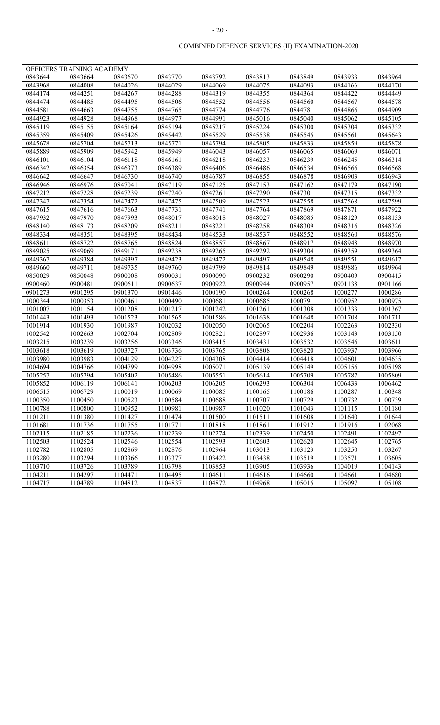|         | OFFICERS TRAINING ACADEMY |         |         |         |         |         |         |         |
|---------|---------------------------|---------|---------|---------|---------|---------|---------|---------|
| 0843644 | 0843664                   | 0843670 | 0843770 | 0843792 | 0843813 | 0843849 | 0843933 | 0843964 |
| 0843968 | 0844008                   | 0844026 | 0844029 | 0844069 | 0844075 | 0844093 | 0844166 | 0844170 |
| 0844174 | 0844251                   | 0844267 | 0844288 | 0844319 | 0844355 | 0844364 | 0844422 | 0844449 |
| 0844474 | 0844485                   | 0844495 | 0844506 | 0844552 | 0844556 | 0844560 | 0844567 | 0844578 |
| 0844581 | 0844663                   | 0844755 | 0844765 | 0844774 | 0844776 | 0844781 | 0844866 | 0844909 |
| 0844923 | 0844928                   | 0844968 | 0844977 | 0844991 | 0845016 | 0845040 | 0845062 | 0845105 |
| 0845119 | 0845155                   | 0845164 | 0845194 | 0845217 | 0845224 | 0845300 | 0845304 | 0845332 |
| 0845359 | 0845409                   | 0845426 | 0845442 | 0845529 | 0845538 | 0845545 | 0845561 | 0845643 |
| 0845678 | 0845704                   | 0845713 | 0845771 | 0845794 | 0845805 | 0845833 | 0845859 | 0845878 |
| 0845889 | 0845909                   | 0845942 | 0845949 | 0846043 | 0846057 | 0846065 | 0846069 | 0846071 |
| 0846101 | 0846104                   | 0846118 | 0846161 | 0846218 | 0846233 | 0846239 | 0846245 | 0846314 |
| 0846342 | 0846354                   | 0846373 | 0846389 | 0846406 | 0846486 | 0846534 | 0846566 | 0846568 |
| 0846642 | 0846647                   | 0846730 | 0846740 | 0846787 | 0846855 | 0846878 | 0846903 | 0846943 |
| 0846946 | 0846976                   | 0847041 | 0847119 | 0847125 | 0847153 | 0847162 | 0847179 | 0847190 |
| 0847212 | 0847228                   | 0847239 | 0847240 | 0847261 | 0847290 | 0847301 | 0847315 | 0847332 |
| 0847347 | 0847354                   | 0847472 | 0847475 | 0847509 | 0847523 | 0847558 | 0847568 | 0847599 |
| 0847615 | 0847616                   | 0847663 | 0847731 | 0847741 | 0847764 | 0847869 | 0847871 | 0847922 |
| 0847932 | 0847970                   | 0847993 | 0848017 | 0848018 | 0848027 | 0848085 | 0848129 | 0848133 |
| 0848140 | 0848173                   | 0848209 | 0848211 | 0848221 | 0848258 | 0848309 | 0848316 | 0848326 |
| 0848334 | 0848351                   | 0848395 | 0848434 | 0848533 | 0848537 | 0848552 | 0848560 | 0848576 |
| 0848611 | 0848722                   | 0848765 | 0848824 | 0848857 | 0848867 | 0848917 | 0848948 | 0848970 |
| 0849025 | 0849069                   | 0849171 | 0849238 | 0849265 | 0849292 | 0849304 | 0849359 | 0849364 |
| 0849367 | 0849384                   | 0849397 | 0849423 | 0849472 | 0849497 | 0849548 | 0849551 | 0849617 |
| 0849660 | 0849711                   | 0849735 | 0849760 | 0849799 | 0849814 | 0849849 | 0849886 | 0849964 |
| 0850029 | 0850048                   | 0900008 | 0900031 | 0900090 | 0900232 | 0900290 | 0900409 | 0900415 |
| 0900460 | 0900481                   | 0900611 | 0900637 | 0900922 | 0900944 | 0900957 | 0901138 | 0901166 |
| 0901273 | 0901295                   | 0901370 | 0901446 | 1000190 | 1000264 | 1000268 | 1000277 | 1000286 |
| 1000344 | 1000353                   | 1000461 | 1000490 | 1000681 | 1000685 | 1000791 | 1000952 | 1000975 |
| 1001007 | 1001154                   | 1001208 | 1001217 | 1001242 | 1001261 | 1001308 | 1001333 | 1001367 |
| 1001443 | 1001493                   | 1001523 | 1001565 | 1001586 | 1001638 | 1001648 | 1001708 | 1001711 |
| 1001914 | 1001930                   | 1001987 | 1002032 | 1002050 | 1002065 | 1002204 | 1002263 | 1002330 |
| 1002542 | 1002663                   | 1002704 | 1002809 | 1002821 | 1002897 | 1002936 | 1003143 | 1003150 |
| 1003215 | 1003239                   | 1003256 | 1003346 | 1003415 | 1003431 | 1003532 | 1003546 | 1003611 |
| 1003618 | 1003619                   | 1003727 | 1003736 | 1003765 | 1003808 | 1003820 | 1003937 | 1003966 |
| 1003980 | 1003983                   | 1004129 | 1004227 | 1004308 | 1004414 | 1004418 | 1004601 | 1004635 |
| 1004694 | 1004766                   | 1004799 | 1004998 | 1005071 | 1005139 | 1005149 | 1005156 | 1005198 |
| 1005257 | 1005294                   | 1005402 | 1005486 | 1005551 | 1005614 | 1005709 | 1005787 | 1005809 |
| 1005852 | 1006119                   | 1006141 | 1006203 | 1006205 | 1006293 | 1006304 | 1006433 | 1006462 |
| 1006515 | 1006729                   | 1100019 | 1100069 | 1100085 | 1100165 | 1100186 | 1100287 | 1100348 |
| 1100350 | 1100450                   | 1100523 | 1100584 | 1100688 | 1100707 | 1100729 | 1100732 | 1100739 |
| 1100788 | 1100800                   | 1100952 | 1100981 | 1100987 | 1101020 | 1101043 | 1101115 | 1101180 |
| 1101211 | 1101380                   | 1101427 | 1101474 | 1101500 | 1101511 | 1101608 | 1101640 | 1101644 |
| 1101681 | 1101736                   | 1101755 | 1101771 | 1101818 | 1101861 | 1101912 | 1101916 | 1102068 |
| 1102115 | 1102185                   | 1102236 | 1102239 | 1102274 | 1102339 | 1102450 | 1102491 | 1102497 |
| 1102503 | 1102524                   | 1102546 | 1102554 | 1102593 | 1102603 | 1102620 | 1102645 | 1102765 |
| 1102782 | 1102805                   | 1102869 | 1102876 | 1102964 | 1103013 | 1103123 | 1103250 | 1103267 |
| 1103280 | 1103294                   | 1103366 | 1103377 | 1103422 | 1103438 | 1103519 | 1103571 | 1103605 |
| 1103710 | 1103726                   | 1103789 | 1103798 | 1103853 | 1103905 | 1103936 | 1104019 | 1104143 |
| 1104211 | 1104297                   | 1104471 | 1104495 | 1104611 | 1104616 | 1104660 | 1104661 | 1104680 |
| 1104717 | 1104789                   | 1104812 | 1104837 | 1104872 | 1104968 | 1105015 | 1105097 | 1105108 |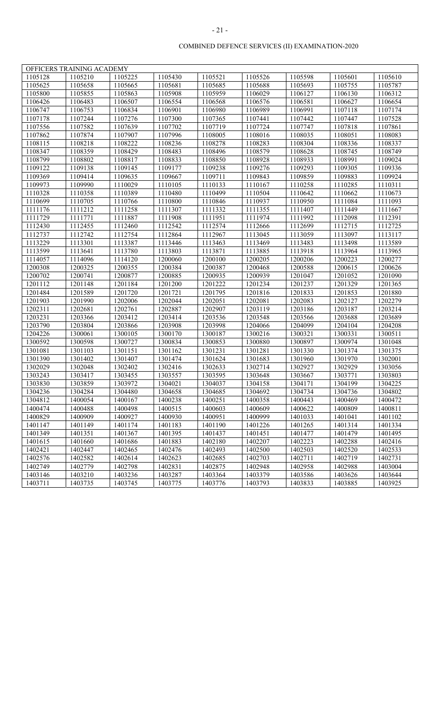|         | OFFICERS TRAINING ACADEMY |         |         |         |         |         |         |         |
|---------|---------------------------|---------|---------|---------|---------|---------|---------|---------|
| 1105128 | 1105210                   | 1105225 | 1105430 | 1105521 | 1105526 | 1105598 | 1105601 | 1105610 |
| 1105625 | 1105658                   | 1105665 | 1105681 | 1105685 | 1105688 | 1105693 | 1105755 | 1105787 |
| 1105800 | 1105855                   | 1105863 | 1105908 | 1105959 | 1106029 | 1106127 | 1106130 | 1106312 |
| 1106426 | 1106483                   | 1106507 | 1106554 | 1106568 | 1106576 | 1106581 | 1106627 | 1106654 |
| 1106747 | 1106753                   | 1106834 | 1106901 | 1106980 | 1106989 | 1106991 | 1107118 | 1107174 |
| 1107178 | 1107244                   | 1107276 | 1107300 | 1107365 | 1107441 | 1107442 | 1107447 | 1107528 |
| 1107556 | 1107582                   | 1107639 | 1107702 | 1107719 | 1107724 | 1107747 | 1107818 | 1107861 |
| 1107862 | 1107874                   | 1107907 | 1107996 | 1108005 | 1108016 | 1108035 | 1108051 | 1108083 |
| 1108115 | 1108218                   | 1108222 | 1108236 | 1108278 | 1108283 | 1108304 | 1108336 | 1108337 |
| 1108347 | 1108359                   | 1108429 | 1108483 | 1108496 | 1108579 | 1108628 | 1108745 | 1108749 |
| 1108799 | 1108802                   | 1108817 | 1108833 | 1108850 | 1108928 | 1108933 | 1108991 | 1109024 |
| 1109122 | 1109138                   | 1109145 | 1109177 | 1109238 | 1109276 | 1109293 | 1109305 | 1109336 |
| 1109369 | 1109414                   | 1109635 | 1109667 | 1109711 | 1109843 | 1109859 | 1109883 | 1109924 |
| 1109973 | 1109990                   | 1110029 | 1110105 | 1110133 | 1110167 | 1110258 | 1110285 | 1110311 |
| 1110328 | 1110358                   | 1110389 | 1110480 | 1110499 | 1110504 | 1110642 | 1110662 | 1110673 |
| 1110699 | 1110705                   | 1110766 | 1110800 | 1110846 | 1110937 | 1110950 | 1111084 | 1111093 |
| 1111176 | 1111212                   | 1111258 | 1111307 | 1111332 | 1111355 | 1111407 | 1111449 | 1111667 |
| 1111729 | 1111771                   | 1111887 | 1111908 | 1111951 | 1111974 | 1111992 | 1112098 | 1112391 |
| 1112430 | 1112455                   | 1112460 | 1112542 | 1112574 | 1112666 | 1112699 | 1112715 | 1112725 |
| 1112737 | 1112742                   | 1112754 | 1112864 | 1112967 | 1113045 | 1113059 | 1113097 | 1113117 |
| 1113229 | 1113301                   | 1113387 | 1113446 | 1113463 | 1113469 | 1113483 | 1113498 | 1113589 |
| 1113599 | 1113641                   | 1113780 | 1113803 | 1113871 | 1113885 | 1113918 | 1113964 | 1113965 |
| 1114057 | 1114096                   | 1114120 | 1200060 | 1200100 | 1200205 | 1200206 | 1200223 | 1200277 |
| 1200308 | 1200325                   | 1200355 | 1200384 | 1200387 | 1200468 | 1200588 | 1200615 | 1200626 |
| 1200702 | 1200741                   | 1200877 | 1200885 | 1200935 | 1200939 | 1201047 | 1201052 | 1201090 |
| 1201112 | 1201148                   | 1201184 | 1201200 | 1201222 | 1201234 | 1201237 | 1201329 | 1201365 |
| 1201484 | 1201589                   | 1201720 | 1201721 | 1201795 | 1201816 | 1201833 | 1201853 | 1201880 |
| 1201903 | 1201990                   | 1202006 | 1202044 | 1202051 | 1202081 | 1202083 | 1202127 | 1202279 |
| 1202311 | 1202681                   | 1202761 | 1202887 | 1202907 | 1203119 | 1203186 | 1203187 | 1203214 |
| 1203231 | 1203366                   | 1203412 | 1203414 | 1203536 | 1203548 | 1203566 | 1203688 | 1203689 |
| 1203790 | 1203804                   | 1203866 | 1203908 | 1203998 | 1204066 | 1204099 | 1204104 | 1204208 |
| 1204226 | 1300061                   | 1300105 | 1300170 | 1300187 | 1300216 | 1300321 | 1300331 | 1300511 |
| 1300592 | 1300598                   | 1300727 | 1300834 | 1300853 | 1300880 | 1300897 | 1300974 | 1301048 |
| 1301081 | 1301103                   | 1301151 | 1301162 | 1301231 | 1301281 | 1301330 | 1301374 | 1301375 |
| 1301390 | 1301402                   | 1301407 | 1301474 | 1301624 | 1301683 | 1301960 | 1301970 | 1302001 |
| 1302029 | 1302048                   | 1302402 | 1302416 | 1302633 | 1302714 | 1302927 | 1302929 | 1303056 |
| 1303243 | 1303417                   | 1303455 | 1303557 | 1303595 | 1303648 | 1303667 | 1303771 | 1303803 |
| 1303830 | 1303859                   | 1303972 | 1304021 | 1304037 | 1304158 | 1304171 | 1304199 | 1304225 |
| 1304236 | 1304284                   | 1304480 | 1304658 | 1304685 | 1304692 | 1304734 | 1304736 | 1304802 |
| 1304812 | 1400054                   | 1400167 | 1400238 | 1400251 | 1400358 | 1400443 | 1400469 | 1400472 |
| 1400474 | 1400488                   | 1400498 | 1400515 | 1400603 | 1400609 | 1400622 | 1400809 | 1400811 |
| 1400829 | 1400909                   | 1400927 | 1400930 | 1400951 | 1400999 | 1401033 | 1401041 | 1401102 |
| 1401147 | 1401149                   | 1401174 | 1401183 | 1401190 | 1401226 | 1401265 | 1401314 | 1401334 |
| 1401349 | 1401351                   | 1401367 | 1401395 | 1401437 | 1401451 | 1401477 | 1401479 | 1401495 |
| 1401615 | 1401660                   | 1401686 | 1401883 | 1402180 | 1402207 | 1402223 | 1402288 | 1402416 |
| 1402421 | 1402447                   | 1402465 | 1402476 | 1402493 | 1402500 | 1402503 | 1402520 | 1402533 |
| 1402576 | 1402582                   | 1402614 | 1402623 | 1402685 | 1402703 | 1402711 | 1402719 | 1402731 |
| 1402749 | 1402779                   | 1402798 | 1402831 | 1402875 | 1402948 | 1402958 | 1402988 | 1403004 |
| 1403146 | 1403210                   | 1403236 | 1403287 | 1403364 | 1403379 | 1403586 | 1403626 | 1403644 |
| 1403711 | 1403735                   | 1403745 | 1403775 | 1403776 | 1403793 | 1403833 | 1403885 | 1403925 |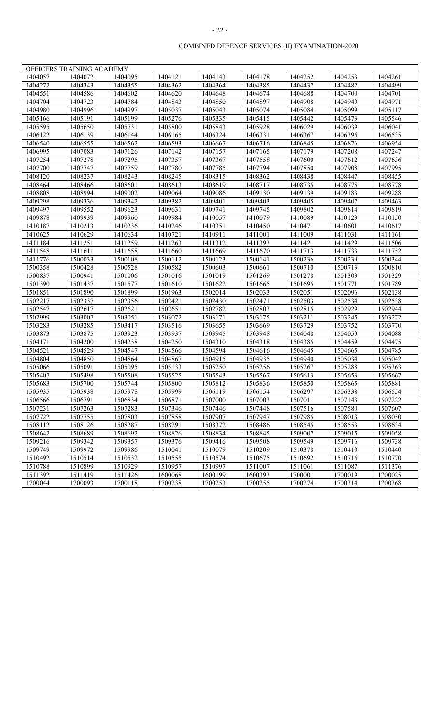|         | OFFICERS TRAINING ACADEMY |         |         |         |                      |         |         |         |
|---------|---------------------------|---------|---------|---------|----------------------|---------|---------|---------|
| 1404057 | 1404072                   | 1404095 | 1404121 | 1404143 | 1404178              | 1404252 | 1404253 | 1404261 |
| 1404272 | 1404343                   | 1404355 | 1404362 | 1404364 | 1404385              | 1404437 | 1404482 | 1404499 |
| 1404551 | 1404586                   | 1404602 | 1404620 | 1404648 | 1404674              | 1404688 | 1404700 | 1404701 |
| 1404704 | 1404723                   | 1404784 | 1404843 | 1404850 | 1404897              | 1404908 | 1404949 | 1404971 |
| 1404980 | 1404996                   | 1404997 | 1405037 | 1405043 | 1405074              | 1405084 | 1405099 | 1405117 |
| 1405166 | 1405191                   | 1405199 | 1405276 | 1405335 | 1405415              | 1405442 | 1405473 | 1405546 |
| 1405595 | 1405650                   | 1405731 | 1405800 | 1405843 | 1405928              | 1406029 | 1406039 | 1406041 |
| 1406122 | 1406139                   | 1406144 | 1406165 | 1406324 | 1406331              | 1406367 | 1406396 | 1406535 |
| 1406540 | 1406555                   | 1406562 | 1406593 | 1406667 | 1406716              | 1406845 | 1406876 | 1406954 |
| 1406995 | 1407083                   | 1407126 | 1407142 | 1407157 | 1407165              | 1407179 | 1407208 | 1407247 |
| 1407254 | 1407278                   | 1407295 | 1407357 | 1407367 | 1407558              | 1407600 | 1407612 | 1407636 |
| 1407700 | 1407747                   | 1407759 | 1407780 | 1407785 | 1407794              | 1407850 | 1407908 | 1407995 |
| 1408120 | 1408237                   | 1408243 | 1408245 | 1408315 | 1408362              | 1408438 | 1408447 | 1408455 |
| 1408464 | 1408466                   | 1408601 | 1408613 | 1408619 | 1408717              | 1408735 | 1408775 | 1408778 |
| 1408808 | 1408994                   | 1409002 | 1409064 | 1409086 | 1409130              | 1409139 | 1409183 | 1409288 |
| 1409298 | 1409336                   | 1409342 | 1409382 | 1409401 | 1409403              | 1409405 | 1409407 | 1409463 |
| 1409497 | 1409552                   | 1409623 | 1409631 | 1409741 | 1409745              | 1409802 | 1409814 | 1409819 |
| 1409878 | 1409939                   | 1409960 | 1409984 | 1410057 | 1410079              | 1410089 | 1410123 | 1410150 |
| 1410187 | 1410213                   | 1410236 | 1410246 | 1410351 | 1410450              | 1410471 | 1410601 | 1410617 |
| 1410625 | 1410629                   | 1410634 | 1410721 | 1410911 | 1411001              | 1411009 | 1411031 | 1411161 |
| 1411184 | 1411251                   | 1411259 | 1411263 | 1411312 | 1411393              | 1411421 | 1411429 | 1411506 |
| 1411548 | 1411611                   | 1411658 | 1411660 | 1411669 | 1411670              | 1411713 | 1411733 | 1411752 |
| 1411776 | 1500033                   | 1500108 | 1500112 | 1500123 | 1500141              | 1500236 | 1500239 | 1500344 |
| 1500358 | 1500428                   | 1500528 | 1500582 | 1500603 | 1500661              | 1500710 | 1500713 | 1500810 |
| 1500837 | 1500941                   | 1501006 | 1501016 | 1501019 | 1501269              | 1501278 | 1501303 | 1501329 |
| 1501390 | 1501437                   | 1501577 | 1501610 | 1501622 | 1501665              | 1501695 | 1501771 | 1501789 |
| 1501851 | 1501890                   | 1501899 | 1501963 | 1502014 | 1502033              | 1502051 | 1502096 | 1502138 |
| 1502217 | 1502337                   | 1502356 | 1502421 | 1502430 | 1502471              | 1502503 | 1502534 | 1502538 |
| 1502547 | 1502617                   | 1502621 | 1502651 | 1502782 | 1502803              | 1502815 | 1502929 | 1502944 |
| 1502999 | 1503007                   | 1503051 | 1503072 | 1503171 | 1503175              | 1503211 | 1503245 | 1503272 |
| 1503283 | 1503285                   | 1503417 | 1503516 | 1503655 | 1503669              | 1503729 | 1503752 | 1503770 |
| 1503873 | 1503875                   | 1503923 | 1503937 | 1503945 | 1503948              | 1504048 | 1504059 | 1504088 |
| 1504171 | 1504200                   | 1504238 | 1504250 | 1504310 | 1504318              | 1504385 | 1504459 | 1504475 |
| 1504521 | 1504529                   | 1504547 | 1504566 | 1504594 | 1504616              | 1504645 | 1504665 | 1504785 |
| 1504804 | 1504850                   | 1504864 | 1504867 | 1504915 | 1504935              | 1504940 | 1505034 | 1505042 |
| 1505066 | 1505091                   | 1505095 | 1505133 | 1505250 | 1505256              | 1505267 | 1505288 | 1505363 |
| 1505407 | 1505498                   | 1505508 | 1505525 | 1505543 | 1505567              | 1505613 | 1505653 | 1505667 |
| 1505683 | 1505700                   | 1505744 | 1505800 | 1505812 | 1505836              | 1505850 | 1505865 | 1505881 |
| 1505935 | 1505938                   | 1505978 | 1505999 | 1506119 | $150615\overline{4}$ | 1506297 | 1506338 | 1506554 |
| 1506566 | 1506791                   | 1506834 | 1506871 | 1507000 | 1507003              | 1507011 | 1507143 | 1507222 |
| 1507231 | 1507263                   | 1507283 | 1507346 | 1507446 | 1507448              | 1507516 | 1507580 | 1507607 |
| 1507722 | 1507755                   | 1507803 | 1507858 | 1507907 | 1507947              | 1507985 | 1508013 | 1508050 |
| 1508112 | 1508126                   | 1508287 | 1508291 | 1508372 | 1508486              | 1508545 | 1508553 | 1508634 |
| 1508642 | 1508689                   | 1508692 | 1508826 | 1508834 | 1508845              | 1509007 | 1509015 | 1509058 |
| 1509216 | 1509342                   | 1509357 | 1509376 | 1509416 | 1509508              | 1509549 | 1509716 | 1509738 |
| 1509749 | 1509972                   | 1509986 | 1510041 | 1510079 | 1510209              | 1510378 | 1510410 | 1510440 |
| 1510492 | 1510514                   | 1510532 | 1510555 | 1510574 | 1510675              | 1510692 | 1510716 | 1510770 |
| 1510788 | 1510899                   | 1510929 | 1510957 | 1510997 | 1511007              | 1511061 | 1511087 | 1511376 |
| 1511392 | 1511419                   | 1511426 | 1600068 | 1600199 | 1600393              | 1700001 | 1700019 | 1700025 |
| 1700044 | 1700093                   | 1700118 | 1700238 | 1700253 | 1700255              | 1700274 | 1700314 | 1700368 |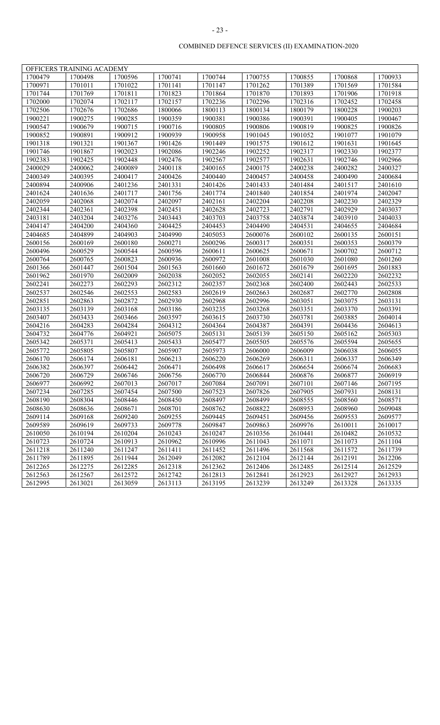|         | OFFICERS TRAINING ACADEMY |         |         |         |         |         |         |         |
|---------|---------------------------|---------|---------|---------|---------|---------|---------|---------|
| 1700479 | 1700498                   | 1700596 | 1700741 | 1700744 | 1700755 | 1700855 | 1700868 | 1700933 |
| 1700971 | 1701011                   | 1701022 | 1701141 | 1701147 | 1701262 | 1701389 | 1701569 | 1701584 |
| 1701744 | 1701769                   | 1701811 | 1701823 | 1701864 | 1701870 | 1701893 | 1701906 | 1701918 |
| 1702000 | 1702074                   | 1702117 | 1702157 | 1702236 | 1702296 | 1702316 | 1702452 | 1702458 |
| 1702506 | 1702676                   | 1702686 | 1800066 | 1800113 | 1800134 | 1800179 | 1800228 | 1900203 |
| 1900221 | 1900275                   | 1900285 | 1900359 | 1900381 | 1900386 | 1900391 | 1900405 | 1900467 |
| 1900547 | 1900679                   | 1900715 | 1900716 | 1900805 | 1900806 | 1900819 | 1900825 | 1900826 |
| 1900852 | 1900891                   | 1900912 | 1900939 | 1900958 | 1901045 | 1901052 | 1901077 | 1901079 |
| 1901318 | 1901321                   | 1901367 | 1901426 | 1901449 | 1901575 | 1901612 | 1901631 | 1901645 |
| 1901746 | 1901867                   | 1902023 | 1902086 | 1902246 | 1902252 | 1902317 | 1902330 | 1902377 |
| 1902383 | 1902425                   | 1902448 | 1902476 | 1902567 | 1902577 | 1902631 | 1902746 | 1902966 |
| 2400029 | 2400062                   | 2400089 | 2400118 | 2400165 | 2400175 | 2400238 | 2400282 | 2400327 |
| 2400349 | 2400395                   | 2400417 | 2400426 | 2400440 | 2400457 | 2400458 | 2400490 | 2400684 |
| 2400894 | 2400906                   | 2401236 | 2401331 | 2401426 | 2401433 | 2401484 | 2401517 | 2401610 |
| 2401624 | 2401636                   | 2401717 | 2401756 | 2401774 | 2401840 | 2401854 | 2401974 | 2402047 |
| 2402059 | 2402068                   | 2402074 | 2402097 | 2402161 | 2402204 | 2402208 | 2402230 | 2402329 |
| 2402344 | 2402361                   | 2402398 | 2402451 | 2402628 | 2402723 | 2402791 | 2402929 | 2403037 |
| 2403181 | 2403204                   | 2403276 | 2403443 | 2403703 | 2403758 | 2403874 | 2403910 | 2404033 |
| 2404147 | 2404200                   | 2404360 | 2404425 | 2404453 | 2404490 | 2404531 | 2404655 | 2404684 |
| 2404685 | 2404899                   | 2404903 | 2404990 | 2405053 | 2600076 | 2600102 | 2600135 | 2600151 |
| 2600156 | 2600169                   | 2600180 | 2600271 | 2600296 | 2600317 | 2600351 | 2600353 | 2600379 |
| 2600496 | 2600529                   | 2600544 | 2600596 | 2600611 | 2600625 | 2600671 | 2600702 | 2600712 |
| 2600764 | 2600765                   | 2600823 | 2600936 | 2600972 | 2601008 | 2601030 | 2601080 | 2601260 |
| 2601366 | 2601447                   | 2601504 | 2601563 | 2601660 | 2601672 | 2601679 | 2601695 | 2601883 |
| 2601962 | 2601970                   | 2602009 | 2602038 | 2602052 | 2602055 | 2602141 | 2602220 | 2602232 |
| 2602241 | 2602273                   | 2602293 | 2602312 | 2602357 | 2602368 | 2602400 | 2602443 | 2602533 |
| 2602537 | 2602546                   | 2602553 | 2602583 | 2602619 | 2602663 | 2602687 | 2602770 | 2602808 |
| 2602851 | 2602863                   | 2602872 | 2602930 | 2602968 | 2602996 | 2603051 | 2603075 | 2603131 |
| 2603135 | 2603139                   | 2603168 | 2603186 | 2603235 | 2603268 | 2603351 | 2603370 | 2603391 |
| 2603407 | 2603433                   | 2603466 | 2603597 | 2603615 | 2603730 | 2603781 | 2603885 | 2604014 |
| 2604216 | 2604283                   | 2604284 | 2604312 | 2604364 | 2604387 | 2604391 | 2604436 | 2604613 |
| 2604732 | 2604776                   | 2604921 | 2605075 | 2605131 | 2605139 | 2605150 | 2605162 | 2605303 |
| 2605342 | 2605371                   | 2605413 | 2605433 | 2605477 | 2605505 | 2605576 | 2605594 | 2605655 |
| 2605772 | 2605805                   | 2605807 | 2605907 | 2605973 | 2606000 | 2606009 | 2606038 | 2606055 |
| 2606170 | 2606174                   | 2606181 | 2606213 | 2606220 | 2606269 | 2606311 | 2606337 | 2606349 |
| 2606382 | 2606397                   | 2606442 | 2606471 | 2606498 | 2606617 | 2606654 | 2606674 | 2606683 |
| 2606720 | 2606729                   | 2606746 | 2606756 | 2606770 | 2606844 | 2606876 | 2606877 | 2606919 |
| 2606977 | 2606992                   | 2607013 | 2607017 | 2607084 | 2607091 | 2607101 | 2607146 | 2607195 |
| 2607234 | 2607285                   | 2607454 | 2607500 | 2607523 | 2607826 | 2607905 | 2607931 | 2608131 |
| 2608190 | 2608304                   | 2608446 | 2608450 | 2608497 | 2608499 | 2608555 | 2608560 | 2608571 |
| 2608630 | 2608636                   | 2608671 | 2608701 | 2608762 | 2608822 | 2608953 | 2608960 | 2609048 |
| 2609114 | 2609168                   | 2609240 | 2609255 | 2609445 | 2609451 | 2609456 | 2609553 | 2609577 |
| 2609589 | 2609619                   | 2609733 | 2609778 | 2609847 | 2609863 | 2609976 | 2610011 | 2610017 |
| 2610050 | 2610194                   | 2610204 | 2610243 | 2610247 | 2610356 | 2610441 | 2610482 | 2610532 |
| 2610723 | 2610724                   | 2610913 | 2610962 | 2610996 | 2611043 | 2611071 | 2611073 | 2611104 |
| 2611218 | 2611240                   | 2611247 | 2611411 | 2611452 | 2611496 | 2611568 | 2611572 | 2611739 |
| 2611789 | 2611895                   | 2611944 | 2612049 | 2612082 | 2612104 | 2612144 | 2612191 | 2612206 |
| 2612265 | 2612275                   | 2612285 | 2612318 | 2612362 | 2612406 | 2612485 | 2612514 | 2612529 |
| 2612563 | 2612567                   | 2612572 | 2612742 | 2612813 | 2612841 | 2612923 | 2612927 | 2612933 |
| 2612995 | 2613021                   | 2613059 | 2613113 | 2613195 | 2613239 | 2613249 | 2613328 | 2613335 |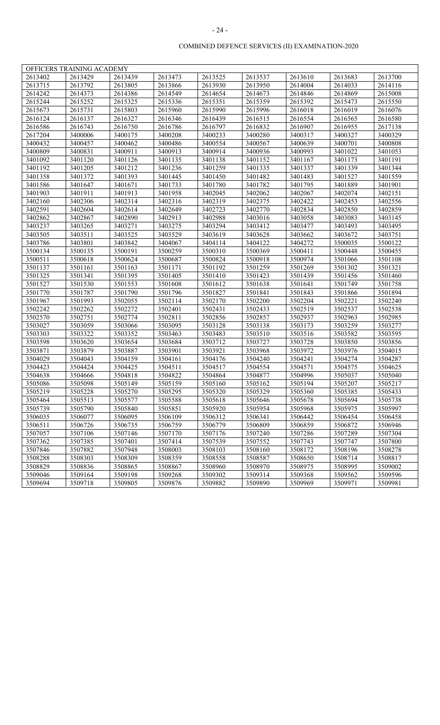|         | OFFICERS TRAINING ACADEMY |         |         |         |         |         |         |         |
|---------|---------------------------|---------|---------|---------|---------|---------|---------|---------|
| 2613402 | 2613429                   | 2613439 | 2613473 | 2613525 | 2613537 | 2613610 | 2613683 | 2613700 |
| 2613715 | 2613792                   | 2613805 | 2613866 | 2613930 | 2613950 | 2614004 | 2614033 | 2614116 |
| 2614242 | 2614373                   | 2614386 | 2614549 | 2614654 | 2614673 | 2614846 | 2614869 | 2615008 |
| 2615244 | 2615252                   | 2615325 | 2615336 | 2615351 | 2615359 | 2615392 | 2615473 | 2615550 |
| 2615673 | 2615731                   | 2615803 | 2615960 | 2615990 | 2615996 | 2616018 | 2616019 | 2616076 |
| 2616124 | 2616137                   | 2616327 | 2616346 | 2616439 | 2616515 | 2616554 | 2616565 | 2616580 |
| 2616586 | 2616743                   | 2616750 | 2616786 | 2616797 | 2616832 | 2616907 | 2616955 | 2617138 |
| 2617204 | 3400006                   | 3400175 | 3400208 | 3400233 | 3400280 | 3400317 | 3400327 | 3400329 |
| 3400432 | 3400457                   | 3400462 | 3400486 | 3400554 | 3400567 | 3400639 | 3400701 | 3400808 |
| 3400809 | 3400831                   | 3400911 | 3400913 | 3400914 | 3400936 | 3400993 | 3401022 | 3401053 |
| 3401092 | 3401120                   | 3401126 | 3401135 | 3401138 | 3401152 | 3401167 | 3401173 | 3401191 |
| 3401192 | 3401205                   | 3401212 | 3401236 | 3401259 | 3401335 | 3401337 | 3401339 | 3401344 |
| 3401358 | 3401372                   | 3401393 | 3401445 | 3401450 | 3401482 | 3401483 | 3401527 | 3401559 |
| 3401586 | 3401647                   | 3401671 | 3401733 | 3401780 | 3401782 | 3401795 | 3401889 | 3401901 |
| 3401903 | 3401911                   | 3401913 | 3401958 | 3402045 | 3402062 | 3402067 | 3402074 | 3402151 |
| 3402160 | 3402306                   | 3402314 | 3402316 | 3402319 | 3402375 | 3402422 | 3402453 | 3402556 |
| 3402591 | 3402604                   | 3402614 | 3402649 | 3402723 | 3402770 | 3402834 | 3402850 | 3402859 |
| 3402862 | 3402867                   | 3402890 | 3402913 | 3402988 | 3403016 | 3403058 | 3403083 | 3403145 |
| 3403237 | 3403265                   | 3403271 | 3403275 | 3403294 | 3403412 | 3403477 | 3403493 | 3403495 |
| 3403505 | 3403511                   | 3403525 | 3403529 | 3403619 | 3403628 | 3403662 | 3403672 | 3403751 |
| 3403786 | 3403801                   | 3403842 | 3404067 | 3404114 | 3404122 | 3404272 | 3500035 | 3500122 |
| 3500134 | 3500135                   | 3500191 | 3500259 | 3500310 | 3500369 | 3500411 | 3500448 | 3500455 |
| 3500511 | 3500618                   | 3500624 | 3500687 | 3500824 | 3500918 | 3500974 | 3501066 | 3501108 |
| 3501137 | 3501161                   | 3501163 | 3501171 | 3501192 | 3501259 | 3501269 | 3501302 | 3501321 |
| 3501325 | 3501341                   | 3501395 | 3501405 | 3501410 | 3501423 | 3501439 | 3501456 | 3501460 |
| 3501527 | 3501530                   | 3501553 | 3501608 | 3501612 | 3501638 | 3501641 | 3501749 | 3501758 |
| 3501770 | 3501787                   | 3501790 | 3501796 | 3501827 | 3501841 | 3501843 | 3501866 | 3501894 |
| 3501967 | 3501993                   | 3502055 | 3502114 | 3502170 | 3502200 | 3502204 | 3502221 | 3502240 |
| 3502242 | 3502262                   | 3502272 | 3502401 | 3502431 | 3502433 | 3502519 | 3502537 | 3502538 |
| 3502570 | 3502751                   | 3502774 | 3502811 | 3502856 | 3502857 | 3502937 | 3502963 | 3502985 |
| 3503027 | 3503059                   | 3503066 | 3503095 | 3503128 | 3503138 | 3503173 | 3503259 | 3503277 |
| 3503303 | 3503322                   | 3503352 | 3503463 | 3503483 | 3503510 | 3503516 | 3503582 | 3503595 |
| 3503598 | 3503620                   | 3503654 | 3503684 | 3503712 | 3503727 | 3503728 | 3503850 | 3503856 |
| 3503871 | 3503879                   | 3503887 | 3503901 | 3503921 | 3503968 | 3503972 | 3503976 | 3504015 |
| 3504029 | 3504043                   | 3504159 | 3504161 | 3504176 | 3504240 | 3504241 | 3504274 | 3504287 |
| 3504423 | 3504424                   | 3504425 | 3504511 | 3504517 | 3504554 | 3504571 | 3504575 | 3504625 |
| 3504638 | 3504666                   | 3504818 | 3504822 | 3504864 | 3504877 | 3504996 | 3505037 | 3505040 |
| 3505086 | 3505098                   | 3505149 | 3505159 | 3505160 | 3505162 | 3505194 | 3505207 | 3505217 |
| 3505219 | 3505228                   | 3505270 | 3505295 | 3505320 | 3505329 | 3505360 | 3505385 | 3505433 |
| 3505464 | 3505513                   | 3505577 | 3505588 | 3505618 | 3505646 | 3505678 | 3505694 | 3505738 |
| 3505739 | 3505790                   | 3505840 | 3505851 | 3505920 | 3505954 | 3505968 | 3505975 | 3505997 |
| 3506035 | 3506077                   | 3506095 | 3506109 | 3506312 | 3506341 | 3506442 | 3506454 | 3506458 |
| 3506511 | 3506726                   | 3506735 | 3506759 | 3506779 | 3506809 | 3506859 | 3506872 | 3506946 |
| 3507057 | 3507106                   | 3507146 | 3507170 | 3507176 | 3507240 | 3507286 | 3507289 | 3507304 |
| 3507362 | 3507385                   | 3507401 | 3507414 | 3507539 | 3507552 | 3507743 | 3507747 | 3507800 |
| 3507846 | 3507882                   | 3507948 | 3508003 | 3508103 | 3508160 | 3508172 | 3508196 | 3508278 |
| 3508288 | 3508303                   | 3508309 | 3508359 | 3508558 | 3508587 | 3508650 | 3508714 | 3508817 |
| 3508829 | 3508836                   | 3508865 | 3508867 | 3508960 | 3508970 | 3508975 | 3508995 | 3509002 |
| 3509046 | 3509164                   | 3509198 | 3509268 | 3509302 | 3509314 | 3509368 | 3509562 | 3509596 |
| 3509694 | 3509718                   | 3509805 | 3509876 | 3509882 | 3509890 | 3509969 | 3509971 | 3509981 |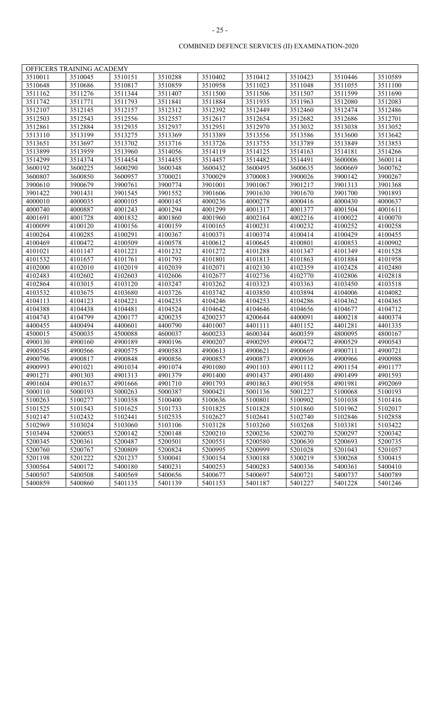| OFFICERS TRAINING ACADEMY |         |         |         |         |         |         |         |         |  |  |
|---------------------------|---------|---------|---------|---------|---------|---------|---------|---------|--|--|
| 3510011                   | 3510045 | 3510151 | 3510288 | 3510402 | 3510412 | 3510423 | 3510446 | 3510589 |  |  |
| 3510648                   | 3510686 | 3510817 | 3510859 | 3510958 | 3511023 | 3511048 | 3511055 | 3511100 |  |  |
| 3511162                   | 3511276 | 3511344 | 3511407 | 3511500 | 3511506 | 3511507 | 3511599 | 3511690 |  |  |
| 3511742                   | 3511771 | 3511793 | 3511841 | 3511884 | 3511935 | 3511963 | 3512080 | 3512083 |  |  |
| 3512107                   | 3512145 | 3512157 | 3512312 | 3512392 | 3512449 | 3512460 | 3512474 | 3512486 |  |  |
| 3512503                   | 3512543 | 3512556 | 3512557 | 3512617 | 3512654 | 3512682 | 3512686 | 3512701 |  |  |
| 3512861                   | 3512884 | 3512935 | 3512937 | 3512951 | 3512970 | 3513032 | 3513038 | 3513052 |  |  |
| 3513110                   | 3513199 | 3513275 | 3513369 | 3513389 | 3513556 | 3513586 | 3513600 | 3513642 |  |  |
| 3513651                   | 3513697 | 3513702 | 3513716 | 3513726 | 3513755 | 3513789 | 3513849 | 3513853 |  |  |
| 3513899                   | 3513959 | 3513960 | 3514056 | 3514119 | 3514125 | 3514163 | 3514181 | 3514266 |  |  |
| 3514299                   | 3514374 | 3514454 | 3514455 | 3514457 | 3514482 | 3514491 | 3600006 | 3600114 |  |  |
| 3600192                   | 3600225 | 3600290 | 3600348 | 3600432 | 3600495 | 3600635 | 3600669 | 3600762 |  |  |
| 3600807                   | 3600850 | 3600957 | 3700021 | 3700029 | 3700083 | 3900026 | 3900142 | 3900267 |  |  |
| 3900610                   | 3900679 | 3900761 | 3900774 | 3901001 | 3901067 | 3901217 | 3901313 | 3901368 |  |  |
| 3901422                   | 3901431 | 3901545 | 3901552 | 3901606 | 3901630 | 3901670 | 3901700 | 3901893 |  |  |
| 4000010                   | 4000035 | 4000105 | 4000145 | 4000236 | 4000278 | 4000416 | 4000430 | 4000637 |  |  |
| 4000740                   | 4000887 | 4001243 | 4001294 | 4001299 | 4001317 | 4001377 | 4001504 | 4001611 |  |  |
| 4001691                   | 4001728 | 4001832 | 4001860 | 4001960 | 4002164 | 4002216 | 4100022 | 4100070 |  |  |
| 4100099                   | 4100120 | 4100156 | 4100159 | 4100165 | 4100231 | 4100232 | 4100252 | 4100258 |  |  |
| 4100264                   | 4100285 | 4100291 | 4100367 | 4100371 | 4100374 | 4100414 | 4100429 | 4100455 |  |  |
| 4100469                   | 4100472 | 4100509 | 4100578 | 4100612 | 4100645 | 4100801 | 4100853 | 4100902 |  |  |
| 4101021                   | 4101147 | 4101221 | 4101232 | 4101272 | 4101288 | 4101347 | 4101349 | 4101528 |  |  |
| 4101532                   | 4101657 | 4101761 | 4101793 | 4101801 | 4101813 | 4101863 | 4101884 | 4101958 |  |  |
| 4102000                   | 4102010 | 4102019 | 4102039 | 4102071 | 4102130 | 4102359 | 4102428 | 4102480 |  |  |
| 4102483                   | 4102602 | 4102603 | 4102606 | 4102677 | 4102736 | 4102770 | 4102806 | 4102818 |  |  |
| 4102864                   | 4103015 | 4103120 | 4103247 | 4103262 | 4103323 | 4103363 | 4103450 | 4103518 |  |  |
| 4103532                   | 4103675 | 4103680 | 4103726 | 4103742 | 4103850 | 4103894 | 4104006 | 4104082 |  |  |
| 4104113                   | 4104123 | 4104221 | 4104235 | 4104246 | 4104253 | 4104286 | 4104362 | 4104365 |  |  |
| 4104388                   | 4104438 | 4104481 | 4104524 | 4104642 | 4104646 | 4104656 | 4104677 | 4104712 |  |  |
| 4104743                   | 4104799 | 4200177 | 4200235 | 4200237 | 4200644 | 4400091 | 4400218 | 4400374 |  |  |
| 4400455                   | 4400494 | 4400601 | 4400790 | 4401007 | 4401111 | 4401152 | 4401281 | 4401335 |  |  |
| 4500015                   | 4500035 | 4500088 | 4600037 | 4600233 | 4600344 | 4600359 | 4800095 | 4800167 |  |  |
| 4900130                   | 4900160 | 4900189 | 4900196 | 4900207 | 4900295 | 4900472 | 4900529 | 4900543 |  |  |
| 4900545                   | 4900566 | 4900575 | 4900583 | 4900613 | 4900621 | 4900669 | 4900711 | 4900721 |  |  |
| 4900796                   | 4900817 | 4900848 | 4900856 | 4900857 | 4900873 | 4900936 | 4900966 | 4900988 |  |  |
| 4900993                   | 4901021 | 4901034 | 4901074 | 4901080 | 4901103 | 4901112 | 4901154 | 4901177 |  |  |
| 4901271                   | 4901303 | 4901313 | 4901379 | 4901400 | 4901437 | 4901480 | 4901499 | 4901593 |  |  |
| 4901604                   | 4901637 | 4901666 | 4901710 | 4901793 | 4901863 | 4901958 | 4901981 | 4902069 |  |  |
| 5000110                   | 5000193 | 5000263 | 5000387 | 5000421 | 5001136 | 5001227 | 5100068 | 5100193 |  |  |
| 5100263                   | 5100277 | 5100358 | 5100400 | 5100636 | 5100801 | 5100902 | 5101038 | 5101416 |  |  |
| 5101525                   | 5101543 | 5101625 | 5101733 | 5101825 | 5101828 | 5101860 | 5101962 | 5102017 |  |  |
| 5102147                   | 5102432 | 5102441 | 5102535 | 5102627 | 5102641 | 5102740 | 5102846 | 5102858 |  |  |
| 5102969                   | 5103024 | 5103060 | 5103106 | 5103128 | 5103260 | 5103268 | 5103381 | 5103422 |  |  |
| 5103494                   | 5200053 | 5200142 | 5200148 | 5200210 | 5200236 | 5200270 | 5200297 | 5200342 |  |  |
| 5200345                   | 5200361 | 5200487 | 5200501 | 5200551 | 5200580 | 5200630 | 5200693 | 5200735 |  |  |
| 5200760                   | 5200767 | 5200809 | 5200824 | 5200995 | 5200999 | 5201028 | 5201043 | 5201057 |  |  |
| 5201198                   | 5201222 | 5201237 | 5300041 | 5300154 | 5300188 | 5300219 | 5300268 | 5300415 |  |  |
| 5300564                   | 5400172 | 5400180 | 5400231 | 5400253 | 5400283 | 5400336 | 5400361 | 5400410 |  |  |
| 5400507                   | 5400508 | 5400569 | 5400656 | 5400677 | 5400697 | 5400721 | 5400737 | 5400789 |  |  |
| 5400859                   | 5400860 | 5401135 | 5401139 | 5401153 | 5401187 | 5401227 | 5401228 | 5401246 |  |  |
|                           |         |         |         |         |         |         |         |         |  |  |